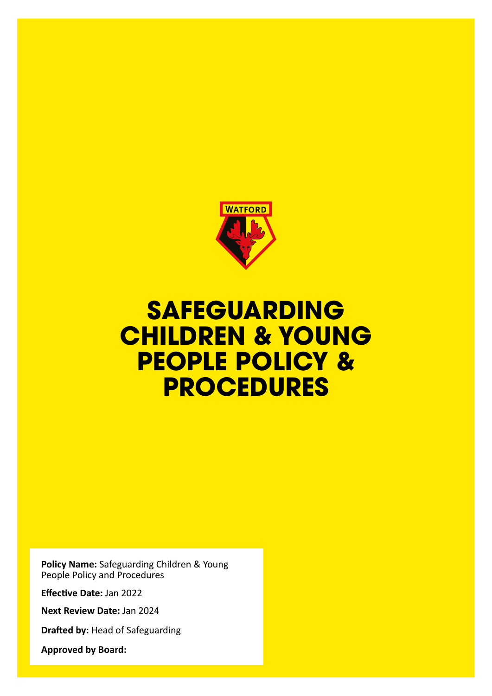

## **SAFEGUARDING CHILDREN & YOUNG PEOPLE POLICY & PROCEDURES**

**Policy Name:** Safeguarding Children & Young People Policy and Procedures

**Effective Date:** Jan 2022

**Next Review Date:** Jan 2024

**Drafted by:** Head of Safeguarding

**Approved by Board:**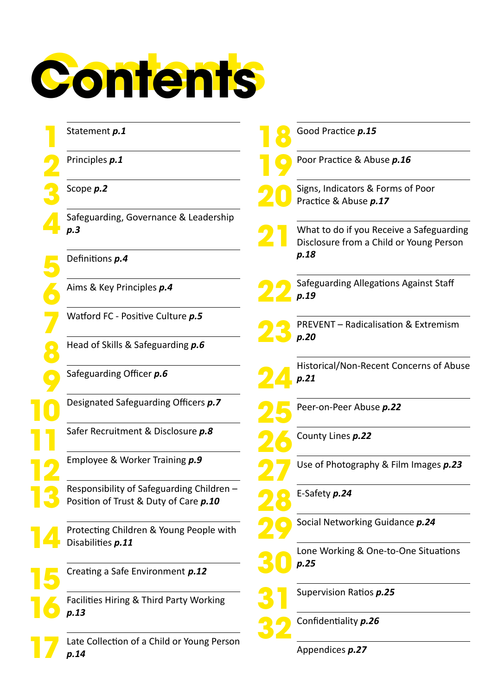

| Statement p.1                                                                    |                                                                 | Good Practice p.15                                                                  |
|----------------------------------------------------------------------------------|-----------------------------------------------------------------|-------------------------------------------------------------------------------------|
| Principles p.1                                                                   |                                                                 | Poor Practice & Abuse p.16                                                          |
| Scope <i>p.2</i>                                                                 |                                                                 | Signs, Indicators & Forms of Poor<br>Practice & Abuse p.17                          |
| Safeguarding, Governance & Leadership<br>p.3                                     |                                                                 | What to do if you Receive a Safeguarding<br>Disclosure from a Child or Young Person |
| Definitions p.4                                                                  |                                                                 | p.18                                                                                |
| Aims & Key Principles p.4                                                        |                                                                 | Safeguarding Allegations Against Staff<br>p.19                                      |
| Watford FC - Positive Culture p.5                                                |                                                                 | <b>PREVENT - Radicalisation &amp; Extremism</b>                                     |
| Head of Skills & Safeguarding p.6                                                |                                                                 | p.20                                                                                |
| Safeguarding Officer p.6                                                         |                                                                 | Historical/Non-Recent Concerns of Abuse<br>p.21                                     |
| Designated Safeguarding Officers p.7                                             |                                                                 | Peer-on-Peer Abuse p.22                                                             |
| Safer Recruitment & Disclosure p.8                                               |                                                                 | County Lines p.22                                                                   |
| Employee & Worker Training p.9                                                   |                                                                 | Use of Photography & Film Images p.23                                               |
| Responsibility of Safeguarding Children<br>Position of Trust & Duty of Care p.10 |                                                                 | E-Safety p.24                                                                       |
| Protecting Children & Young People with                                          |                                                                 | Social Networking Guidance p.24                                                     |
|                                                                                  |                                                                 | Lone Working & One-to-One Situations<br>p.25                                        |
| Creating a Safe Environment p.12                                                 |                                                                 |                                                                                     |
| Facilities Hiring & Third Party Working<br>p.13                                  |                                                                 | Supervision Ratios p.25                                                             |
|                                                                                  |                                                                 | Confidentiality p.26                                                                |
| p.14                                                                             |                                                                 | Appendices p.27                                                                     |
|                                                                                  | Disabilities p.11<br>Late Collection of a Child or Young Person |                                                                                     |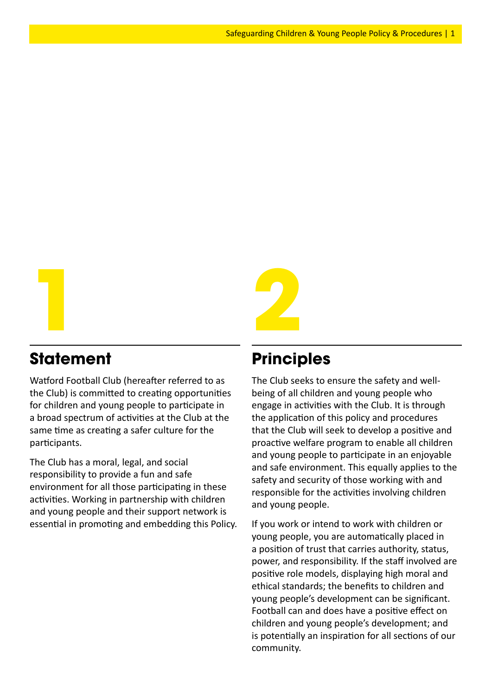

## **Statement**

Watford Football Club (hereafter referred to as the Club) is committed to creating opportunities for children and young people to participate in a broad spectrum of activities at the Club at the same time as creating a safer culture for the participants.

The Club has a moral, legal, and social responsibility to provide a fun and safe environment for all those participating in these activities. Working in partnership with children and young people and their support network is essential in promoting and embedding this Policy.

## **Principles**

The Club seeks to ensure the safety and wellbeing of all children and young people who engage in activities with the Club. It is through the application of this policy and procedures that the Club will seek to develop a positive and proactive welfare program to enable all children and young people to participate in an enjoyable and safe environment. This equally applies to the safety and security of those working with and responsible for the activities involving children and young people.

If you work or intend to work with children or young people, you are automatically placed in a position of trust that carries authority, status, power, and responsibility. If the staff involved are positive role models, displaying high moral and ethical standards; the benefits to children and young people's development can be significant. Football can and does have a positive effect on children and young people's development; and is potentially an inspiration for all sections of our community.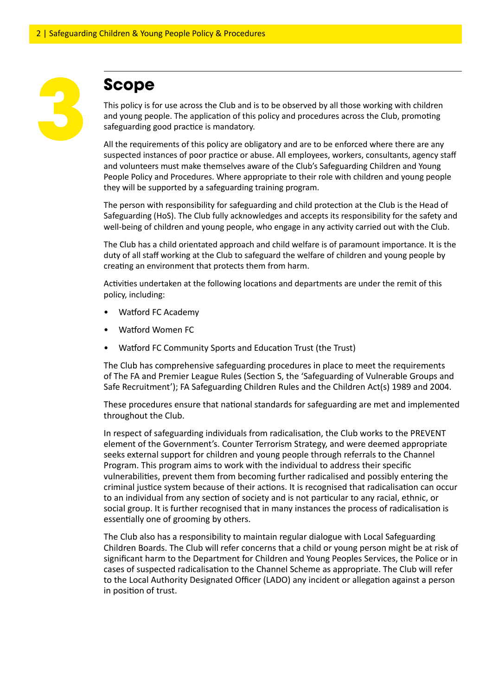

## **Scope**

This policy is for use across the Club and is to be observed by all those working with children and young people. The application of this policy and procedures across the Club, promoting safeguarding good practice is mandatory.

All the requirements of this policy are obligatory and are to be enforced where there are any suspected instances of poor practice or abuse. All employees, workers, consultants, agency staff and volunteers must make themselves aware of the Club's Safeguarding Children and Young People Policy and Procedures. Where appropriate to their role with children and young people they will be supported by a safeguarding training program.

The person with responsibility for safeguarding and child protection at the Club is the Head of Safeguarding (HoS). The Club fully acknowledges and accepts its responsibility for the safety and well-being of children and young people, who engage in any activity carried out with the Club.

The Club has a child orientated approach and child welfare is of paramount importance. It is the duty of all staff working at the Club to safeguard the welfare of children and young people by creating an environment that protects them from harm.

Activities undertaken at the following locations and departments are under the remit of this policy, including:

- Watford FC Academy
- Watford Women FC
- Watford FC Community Sports and Education Trust (the Trust)

The Club has comprehensive safeguarding procedures in place to meet the requirements of The FA and Premier League Rules (Section S, the 'Safeguarding of Vulnerable Groups and Safe Recruitment'); FA Safeguarding Children Rules and the Children Act(s) 1989 and 2004.

These procedures ensure that national standards for safeguarding are met and implemented throughout the Club.

In respect of safeguarding individuals from radicalisation, the Club works to the PREVENT element of the Government's. Counter Terrorism Strategy, and were deemed appropriate seeks external support for children and young people through referrals to the Channel Program. This program aims to work with the individual to address their specific vulnerabilities, prevent them from becoming further radicalised and possibly entering the criminal justice system because of their actions. It is recognised that radicalisation can occur to an individual from any section of society and is not particular to any racial, ethnic, or social group. It is further recognised that in many instances the process of radicalisation is essentially one of grooming by others.

The Club also has a responsibility to maintain regular dialogue with Local Safeguarding Children Boards. The Club will refer concerns that a child or young person might be at risk of significant harm to the Department for Children and Young Peoples Services, the Police or in cases of suspected radicalisation to the Channel Scheme as appropriate. The Club will refer to the Local Authority Designated Officer (LADO) any incident or allegation against a person in position of trust.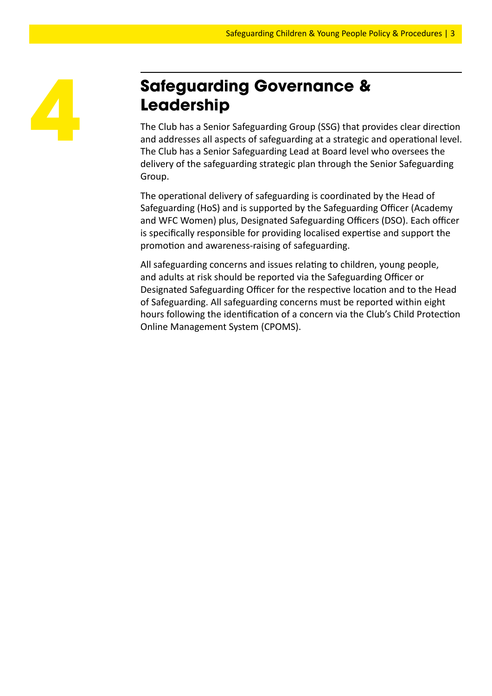## **Safeguarding Governance & Leadership**

The Club has a Senior Safeguarding Group (SSG) that provides clear direction and addresses all aspects of safeguarding at a strategic and operational level. The Club has a Senior Safeguarding Lead at Board level who oversees the delivery of the safeguarding strategic plan through the Senior Safeguarding Group.

The operational delivery of safeguarding is coordinated by the Head of Safeguarding (HoS) and is supported by the Safeguarding Officer (Academy and WFC Women) plus, Designated Safeguarding Officers (DSO). Each officer is specifically responsible for providing localised expertise and support the promotion and awareness-raising of safeguarding.

All safeguarding concerns and issues relating to children, young people, and adults at risk should be reported via the Safeguarding Officer or Designated Safeguarding Officer for the respective location and to the Head of Safeguarding. All safeguarding concerns must be reported within eight hours following the identification of a concern via the Club's Child Protection Online Management System (CPOMS).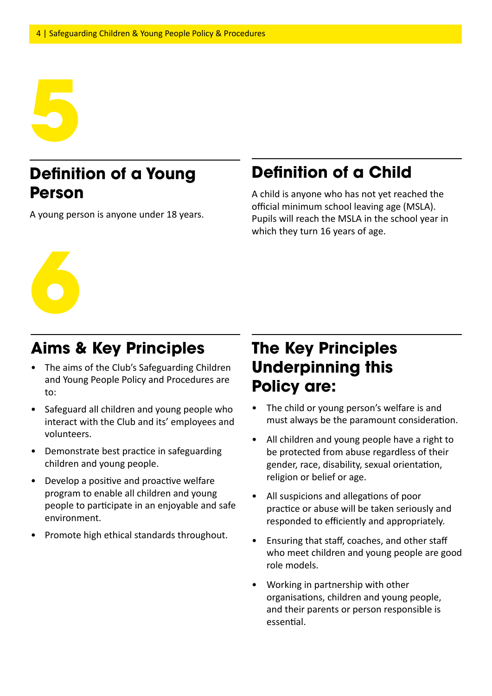

## **Definition of a Young Person**

A young person is anyone under 18 years.

## **Definition of a Child**

A child is anyone who has not yet reached the official minimum school leaving age (MSLA). Pupils will reach the MSLA in the school year in which they turn 16 years of age.

### **Aims & Key Principles**

- The aims of the Club's Safeguarding Children and Young People Policy and Procedures are to:
- Safeguard all children and young people who interact with the Club and its' employees and volunteers.
- Demonstrate best practice in safeguarding children and young people.
- Develop a positive and proactive welfare program to enable all children and young people to participate in an enjoyable and safe environment.
- Promote high ethical standards throughout.

## **The Key Principles Underpinning this Policy are:**

- The child or young person's welfare is and must always be the paramount consideration.
- All children and young people have a right to be protected from abuse regardless of their gender, race, disability, sexual orientation, religion or belief or age.
- All suspicions and allegations of poor practice or abuse will be taken seriously and responded to efficiently and appropriately.
- Ensuring that staff, coaches, and other staff who meet children and young people are good role models.
- Working in partnership with other organisations, children and young people, and their parents or person responsible is essential.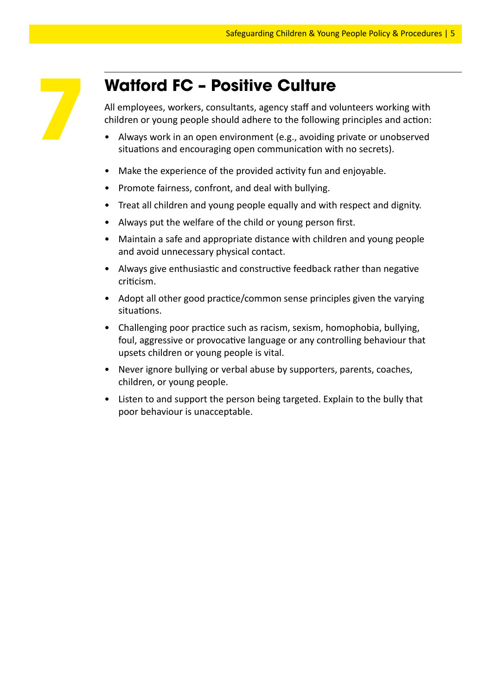## **Watford FC – Positive Culture**

All employees, workers, consultants, agency staff and volunteers working with children or young people should adhere to the following principles and action:

- Always work in an open environment (e.g., avoiding private or unobserved situations and encouraging open communication with no secrets).
- Make the experience of the provided activity fun and enjoyable.
- Promote fairness, confront, and deal with bullying.
- Treat all children and young people equally and with respect and dignity.
- Always put the welfare of the child or young person first.
- Maintain a safe and appropriate distance with children and young people and avoid unnecessary physical contact.
- Always give enthusiastic and constructive feedback rather than negative criticism.
- Adopt all other good practice/common sense principles given the varying situations.
- Challenging poor practice such as racism, sexism, homophobia, bullying, foul, aggressive or provocative language or any controlling behaviour that upsets children or young people is vital.
- Never ignore bullying or verbal abuse by supporters, parents, coaches, children, or young people.
- Listen to and support the person being targeted. Explain to the bully that poor behaviour is unacceptable.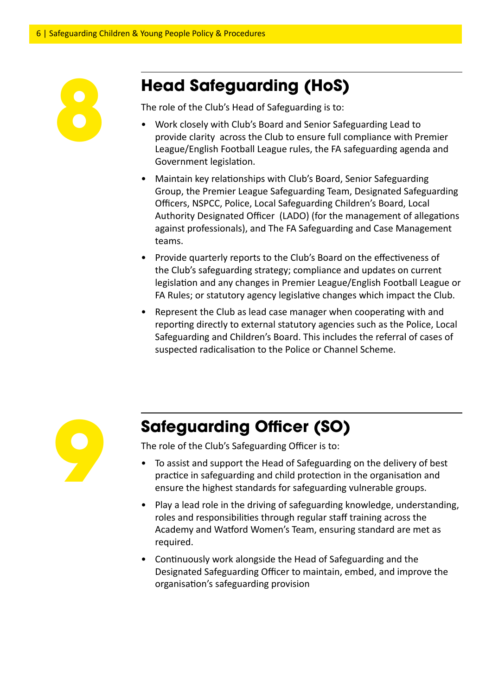

## **Head Safeguarding (HoS)**

The role of the Club's Head of Safeguarding is to:

- Work closely with Club's Board and Senior Safeguarding Lead to provide clarity across the Club to ensure full compliance with Premier League/English Football League rules, the FA safeguarding agenda and Government legislation.
- Maintain key relationships with Club's Board, Senior Safeguarding Group, the Premier League Safeguarding Team, Designated Safeguarding Officers, NSPCC, Police, Local Safeguarding Children's Board, Local Authority Designated Officer (LADO) (for the management of allegations against professionals), and The FA Safeguarding and Case Management teams.
- Provide quarterly reports to the Club's Board on the effectiveness of the Club's safeguarding strategy; compliance and updates on current legislation and any changes in Premier League/English Football League or FA Rules; or statutory agency legislative changes which impact the Club.
- Represent the Club as lead case manager when cooperating with and reporting directly to external statutory agencies such as the Police, Local Safeguarding and Children's Board. This includes the referral of cases of suspected radicalisation to the Police or Channel Scheme.



## **Safeguarding Officer (SO)**

The role of the Club's Safeguarding Officer is to:

- To assist and support the Head of Safeguarding on the delivery of best practice in safeguarding and child protection in the organisation and ensure the highest standards for safeguarding vulnerable groups.
- Play a lead role in the driving of safeguarding knowledge, understanding, roles and responsibilities through regular staff training across the Academy and Watford Women's Team, ensuring standard are met as required.
- Continuously work alongside the Head of Safeguarding and the Designated Safeguarding Officer to maintain, embed, and improve the organisation's safeguarding provision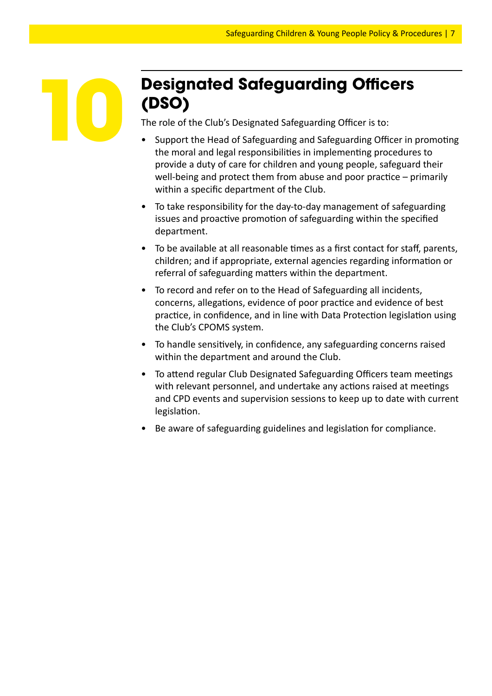## **Designated Safeguarding Officers (DSO)**

The role of the Club's Designated Safeguarding Officer is to:

**10**

- Support the Head of Safeguarding and Safeguarding Officer in promoting the moral and legal responsibilities in implementing procedures to provide a duty of care for children and young people, safeguard their well-being and protect them from abuse and poor practice – primarily within a specific department of the Club.
- To take responsibility for the day-to-day management of safeguarding issues and proactive promotion of safeguarding within the specified department.
- To be available at all reasonable times as a first contact for staff, parents, children; and if appropriate, external agencies regarding information or referral of safeguarding matters within the department.
- To record and refer on to the Head of Safeguarding all incidents, concerns, allegations, evidence of poor practice and evidence of best practice, in confidence, and in line with Data Protection legislation using the Club's CPOMS system.
- To handle sensitively, in confidence, any safeguarding concerns raised within the department and around the Club.
- To attend regular Club Designated Safeguarding Officers team meetings with relevant personnel, and undertake any actions raised at meetings and CPD events and supervision sessions to keep up to date with current legislation.
- Be aware of safeguarding guidelines and legislation for compliance.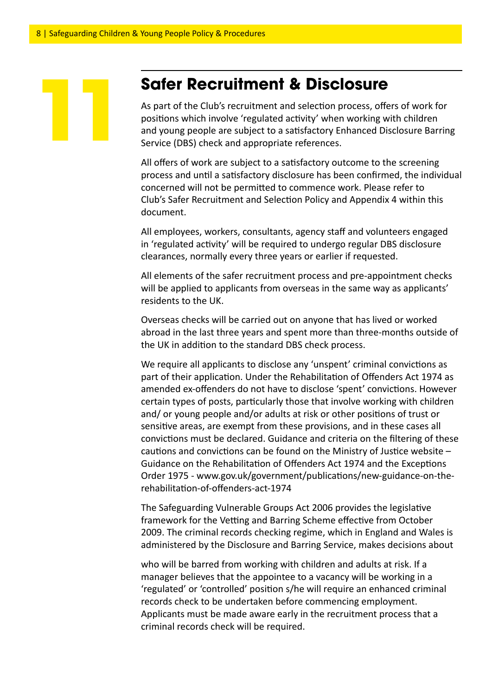### **Safer Recruitment & Disclosure**

As part of the Club's recruitment and selection process, offers of work for positions which involve 'regulated activity' when working with children and young people are subject to a satisfactory Enhanced Disclosure Barring Service (DBS) check and appropriate references.

All offers of work are subject to a satisfactory outcome to the screening process and until a satisfactory disclosure has been confirmed, the individual concerned will not be permitted to commence work. Please refer to Club's Safer Recruitment and Selection Policy and Appendix 4 within this document.

All employees, workers, consultants, agency staff and volunteers engaged in 'regulated activity' will be required to undergo regular DBS disclosure clearances, normally every three years or earlier if requested.

All elements of the safer recruitment process and pre-appointment checks will be applied to applicants from overseas in the same way as applicants' residents to the UK.

Overseas checks will be carried out on anyone that has lived or worked abroad in the last three years and spent more than three-months outside of the UK in addition to the standard DBS check process.

We require all applicants to disclose any 'unspent' criminal convictions as part of their application. Under the Rehabilitation of Offenders Act 1974 as amended ex-offenders do not have to disclose 'spent' convictions. However certain types of posts, particularly those that involve working with children and/ or young people and/or adults at risk or other positions of trust or sensitive areas, are exempt from these provisions, and in these cases all convictions must be declared. Guidance and criteria on the filtering of these cautions and convictions can be found on the Ministry of Justice website – Guidance on the Rehabilitation of Offenders Act 1974 and the Exceptions Order 1975 - www.gov.uk/government/publications/new-guidance-on-therehabilitation-of-offenders-act-1974

The Safeguarding Vulnerable Groups Act 2006 provides the legislative framework for the Vetting and Barring Scheme effective from October 2009. The criminal records checking regime, which in England and Wales is administered by the Disclosure and Barring Service, makes decisions about

who will be barred from working with children and adults at risk. If a manager believes that the appointee to a vacancy will be working in a 'regulated' or 'controlled' position s/he will require an enhanced criminal records check to be undertaken before commencing employment. Applicants must be made aware early in the recruitment process that a criminal records check will be required.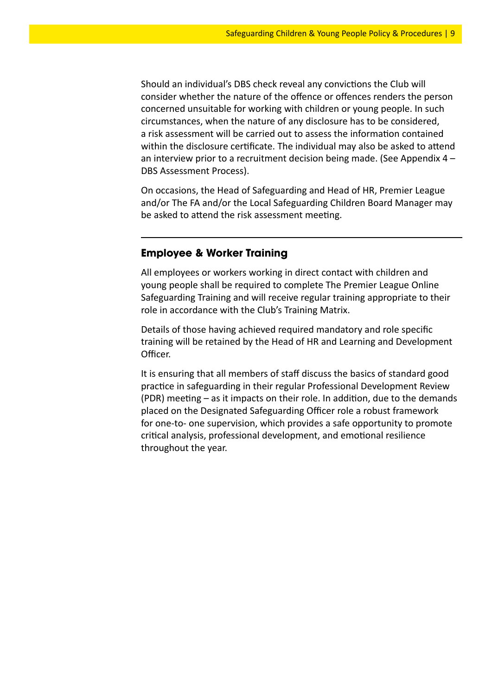Should an individual's DBS check reveal any convictions the Club will consider whether the nature of the offence or offences renders the person concerned unsuitable for working with children or young people. In such circumstances, when the nature of any disclosure has to be considered, a risk assessment will be carried out to assess the information contained within the disclosure certificate. The individual may also be asked to attend an interview prior to a recruitment decision being made. (See Appendix 4 – DBS Assessment Process).

On occasions, the Head of Safeguarding and Head of HR, Premier League and/or The FA and/or the Local Safeguarding Children Board Manager may be asked to attend the risk assessment meeting.

#### **Employee & Worker Training**

All employees or workers working in direct contact with children and young people shall be required to complete The Premier League Online Safeguarding Training and will receive regular training appropriate to their role in accordance with the Club's Training Matrix.

Details of those having achieved required mandatory and role specific training will be retained by the Head of HR and Learning and Development Officer.

It is ensuring that all members of staff discuss the basics of standard good practice in safeguarding in their regular Professional Development Review (PDR) meeting – as it impacts on their role. In addition, due to the demands placed on the Designated Safeguarding Officer role a robust framework for one-to- one supervision, which provides a safe opportunity to promote critical analysis, professional development, and emotional resilience throughout the year.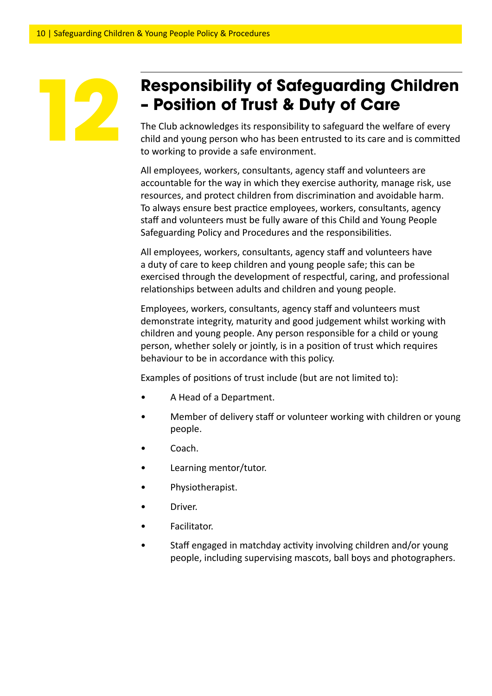## **Responsibility of Safeguarding Children – Position of Trust & Duty of Care**

The Club acknowledges its responsibility to safeguard the welfare of every child and young person who has been entrusted to its care and is committed to working to provide a safe environment.

All employees, workers, consultants, agency staff and volunteers are accountable for the way in which they exercise authority, manage risk, use resources, and protect children from discrimination and avoidable harm. To always ensure best practice employees, workers, consultants, agency staff and volunteers must be fully aware of this Child and Young People Safeguarding Policy and Procedures and the responsibilities.

All employees, workers, consultants, agency staff and volunteers have a duty of care to keep children and young people safe; this can be exercised through the development of respectful, caring, and professional relationships between adults and children and young people.

Employees, workers, consultants, agency staff and volunteers must demonstrate integrity, maturity and good judgement whilst working with children and young people. Any person responsible for a child or young person, whether solely or jointly, is in a position of trust which requires behaviour to be in accordance with this policy.

Examples of positions of trust include (but are not limited to):

- A Head of a Department.
- Member of delivery staff or volunteer working with children or young people.
- Coach.
- Learning mentor/tutor.
- Physiotherapist.
- Driver.
- Facilitator.
- Staff engaged in matchday activity involving children and/or young people, including supervising mascots, ball boys and photographers.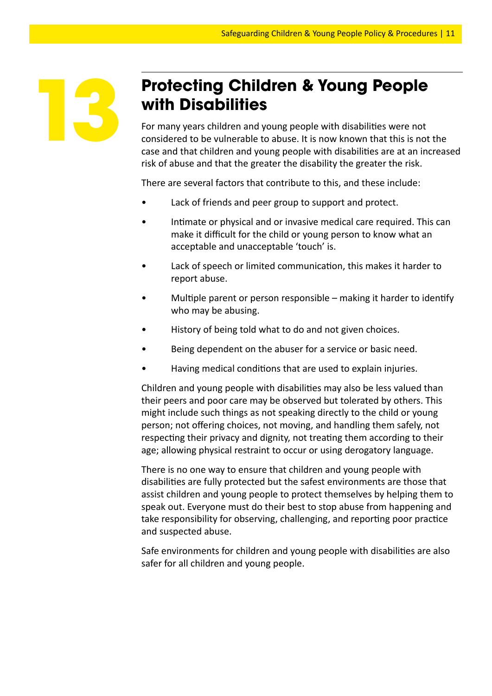

## **Protecting Children & Young People with Disabilities**

For many years children and young people with disabilities were not considered to be vulnerable to abuse. It is now known that this is not the case and that children and young people with disabilities are at an increased risk of abuse and that the greater the disability the greater the risk.

There are several factors that contribute to this, and these include:

- Lack of friends and peer group to support and protect.
- Intimate or physical and or invasive medical care required. This can make it difficult for the child or young person to know what an acceptable and unacceptable 'touch' is.
- Lack of speech or limited communication, this makes it harder to report abuse.
- Multiple parent or person responsible  $-$  making it harder to identify who may be abusing.
- History of being told what to do and not given choices.
- Being dependent on the abuser for a service or basic need.
- Having medical conditions that are used to explain injuries.

Children and young people with disabilities may also be less valued than their peers and poor care may be observed but tolerated by others. This might include such things as not speaking directly to the child or young person; not offering choices, not moving, and handling them safely, not respecting their privacy and dignity, not treating them according to their age; allowing physical restraint to occur or using derogatory language.

There is no one way to ensure that children and young people with disabilities are fully protected but the safest environments are those that assist children and young people to protect themselves by helping them to speak out. Everyone must do their best to stop abuse from happening and take responsibility for observing, challenging, and reporting poor practice and suspected abuse.

Safe environments for children and young people with disabilities are also safer for all children and young people.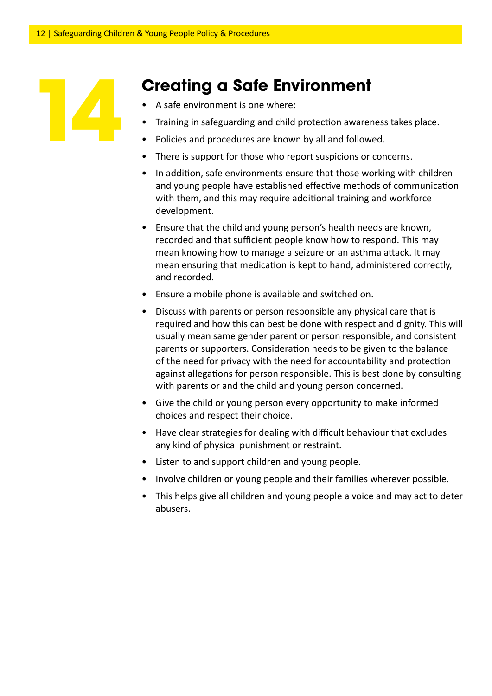

## **Creating a Safe Environment**

- A safe environment is one where:
- Training in safeguarding and child protection awareness takes place.
- Policies and procedures are known by all and followed.
- There is support for those who report suspicions or concerns.
- In addition, safe environments ensure that those working with children and young people have established effective methods of communication with them, and this may require additional training and workforce development.
- Ensure that the child and young person's health needs are known, recorded and that sufficient people know how to respond. This may mean knowing how to manage a seizure or an asthma attack. It may mean ensuring that medication is kept to hand, administered correctly, and recorded.
- Ensure a mobile phone is available and switched on.
- Discuss with parents or person responsible any physical care that is required and how this can best be done with respect and dignity. This will usually mean same gender parent or person responsible, and consistent parents or supporters. Consideration needs to be given to the balance of the need for privacy with the need for accountability and protection against allegations for person responsible. This is best done by consulting with parents or and the child and young person concerned.
- Give the child or young person every opportunity to make informed choices and respect their choice.
- Have clear strategies for dealing with difficult behaviour that excludes any kind of physical punishment or restraint.
- Listen to and support children and young people.
- Involve children or young people and their families wherever possible.
- This helps give all children and young people a voice and may act to deter abusers.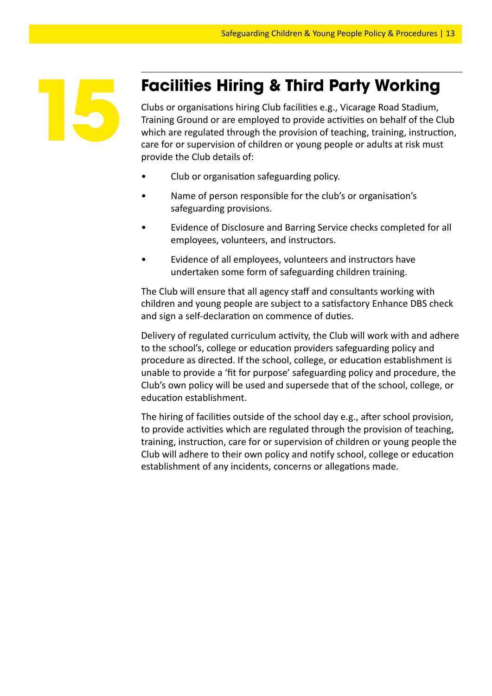

## **Facilities Hiring & Third Party Working**

Clubs or organisations hiring Club facilities e.g., Vicarage Road Stadium, Training Ground or are employed to provide activities on behalf of the Club which are regulated through the provision of teaching, training, instruction, care for or supervision of children or young people or adults at risk must provide the Club details of:

- Club or organisation safeguarding policy.
- Name of person responsible for the club's or organisation's safeguarding provisions.
- Evidence of Disclosure and Barring Service checks completed for all employees, volunteers, and instructors.
- Evidence of all employees, volunteers and instructors have undertaken some form of safeguarding children training.

The Club will ensure that all agency staff and consultants working with children and young people are subject to a satisfactory Enhance DBS check and sign a self-declaration on commence of duties.

Delivery of regulated curriculum activity, the Club will work with and adhere to the school's, college or education providers safeguarding policy and procedure as directed. If the school, college, or education establishment is unable to provide a 'fit for purpose' safeguarding policy and procedure, the Club's own policy will be used and supersede that of the school, college, or education establishment.

The hiring of facilities outside of the school day e.g., after school provision, to provide activities which are regulated through the provision of teaching, training, instruction, care for or supervision of children or young people the Club will adhere to their own policy and notify school, college or education establishment of any incidents, concerns or allegations made.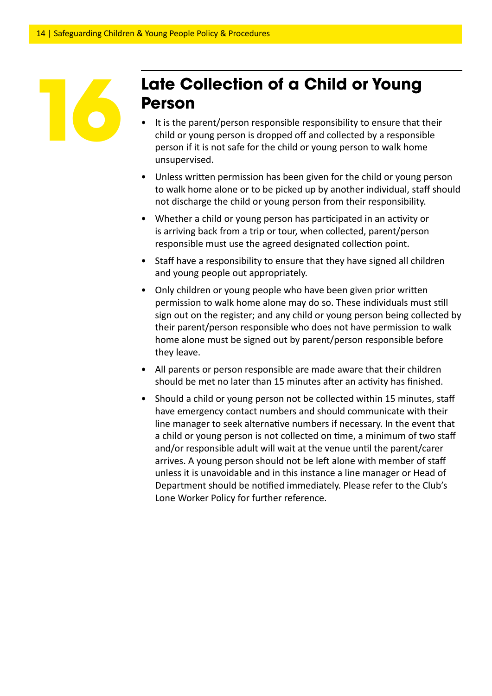

## **Late Collection of a Child or Young Person**

- It is the parent/person responsible responsibility to ensure that their child or young person is dropped off and collected by a responsible person if it is not safe for the child or young person to walk home unsupervised.
- Unless written permission has been given for the child or young person to walk home alone or to be picked up by another individual, staff should not discharge the child or young person from their responsibility.
- Whether a child or young person has participated in an activity or is arriving back from a trip or tour, when collected, parent/person responsible must use the agreed designated collection point.
- Staff have a responsibility to ensure that they have signed all children and young people out appropriately.
- Only children or young people who have been given prior written permission to walk home alone may do so. These individuals must still sign out on the register; and any child or young person being collected by their parent/person responsible who does not have permission to walk home alone must be signed out by parent/person responsible before they leave.
- All parents or person responsible are made aware that their children should be met no later than 15 minutes after an activity has finished.
- Should a child or young person not be collected within 15 minutes, staff have emergency contact numbers and should communicate with their line manager to seek alternative numbers if necessary. In the event that a child or young person is not collected on time, a minimum of two staff and/or responsible adult will wait at the venue until the parent/carer arrives. A young person should not be left alone with member of staff unless it is unavoidable and in this instance a line manager or Head of Department should be notified immediately. Please refer to the Club's Lone Worker Policy for further reference.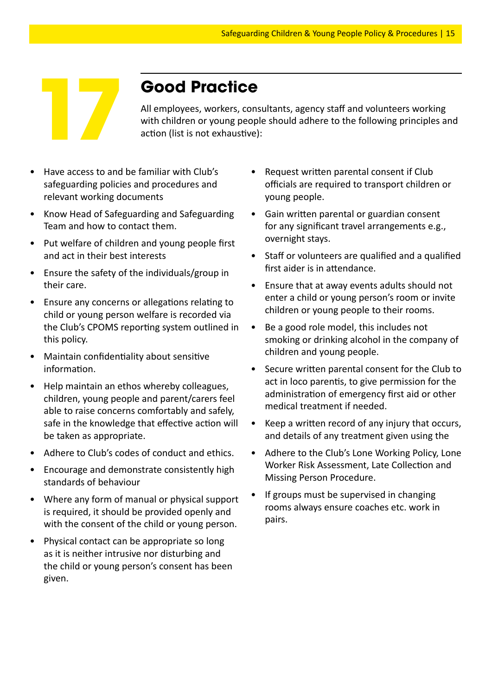

## **Good Practice**

All employees, workers, consultants, agency staff and volunteers working **Cood Practice**<br>All employees, workers, consultants, agency staff and volunteers working<br>with children or young people should adhere to the following principles and<br>action (list is not exhaustive):

- Have access to and be familiar with Club's safeguarding policies and procedures and relevant working documents
- Know Head of Safeguarding and Safeguarding Team and how to contact them.
- Put welfare of children and young people first and act in their best interests
- Ensure the safety of the individuals/group in their care.
- Ensure any concerns or allegations relating to child or young person welfare is recorded via the Club's CPOMS reporting system outlined in this policy.
- Maintain confidentiality about sensitive information.
- Help maintain an ethos whereby colleagues, children, young people and parent/carers feel able to raise concerns comfortably and safely, safe in the knowledge that effective action will be taken as appropriate.
- Adhere to Club's codes of conduct and ethics.
- Encourage and demonstrate consistently high standards of behaviour
- Where any form of manual or physical support is required, it should be provided openly and with the consent of the child or young person.
- Physical contact can be appropriate so long as it is neither intrusive nor disturbing and the child or young person's consent has been given.
- Request written parental consent if Club officials are required to transport children or young people.
- Gain written parental or guardian consent for any significant travel arrangements e.g., overnight stays.
- Staff or volunteers are qualified and a qualified first aider is in attendance.
- Ensure that at away events adults should not enter a child or young person's room or invite children or young people to their rooms.
- Be a good role model, this includes not smoking or drinking alcohol in the company of children and young people.
- Secure written parental consent for the Club to act in loco parentis, to give permission for the administration of emergency first aid or other medical treatment if needed.
- Keep a written record of any injury that occurs, and details of any treatment given using the
- Adhere to the Club's Lone Working Policy, Lone Worker Risk Assessment, Late Collection and Missing Person Procedure.
- If groups must be supervised in changing rooms always ensure coaches etc. work in pairs.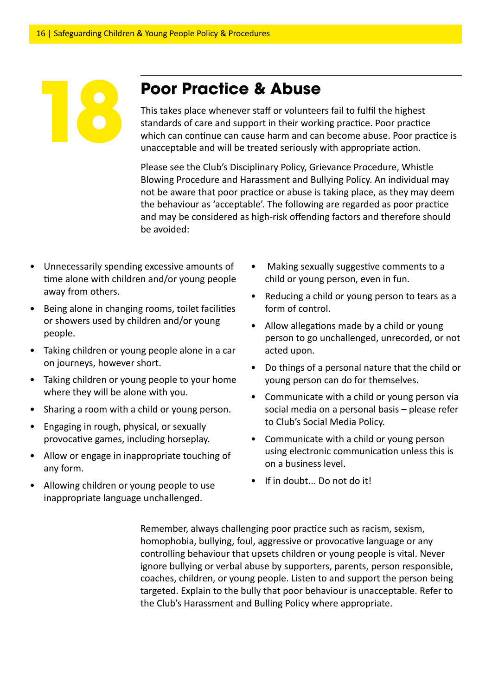## **Poor Practice & Abuse**

This takes place whenever staff or volunteers fail to fulfil the highest standards of care and support in their working practice. Poor practice which can continue can cause harm and can become abuse. Poor practice is unacceptable and will be treated seriously with appropriate action.

Please see the Club's Disciplinary Policy, Grievance Procedure, Whistle Blowing Procedure and Harassment and Bullying Policy. An individual may not be aware that poor practice or abuse is taking place, as they may deem the behaviour as 'acceptable'. The following are regarded as poor practice and may be considered as high-risk offending factors and therefore should be avoided:

- Unnecessarily spending excessive amounts of time alone with children and/or young people away from others.
- Being alone in changing rooms, toilet facilities or showers used by children and/or young people.
- Taking children or young people alone in a car on journeys, however short.
- Taking children or young people to your home where they will be alone with you.
- Sharing a room with a child or young person.
- Engaging in rough, physical, or sexually provocative games, including horseplay.
- Allow or engage in inappropriate touching of any form.
- Allowing children or young people to use inappropriate language unchallenged.
- Making sexually suggestive comments to a child or young person, even in fun.
- Reducing a child or young person to tears as a form of control.
- Allow allegations made by a child or young person to go unchallenged, unrecorded, or not acted upon.
- Do things of a personal nature that the child or young person can do for themselves.
- Communicate with a child or young person via social media on a personal basis – please refer to Club's Social Media Policy.
- Communicate with a child or young person using electronic communication unless this is on a business level.
- If in doubt... Do not do it!

Remember, always challenging poor practice such as racism, sexism, homophobia, bullying, foul, aggressive or provocative language or any controlling behaviour that upsets children or young people is vital. Never ignore bullying or verbal abuse by supporters, parents, person responsible, coaches, children, or young people. Listen to and support the person being targeted. Explain to the bully that poor behaviour is unacceptable. Refer to the Club's Harassment and Bulling Policy where appropriate.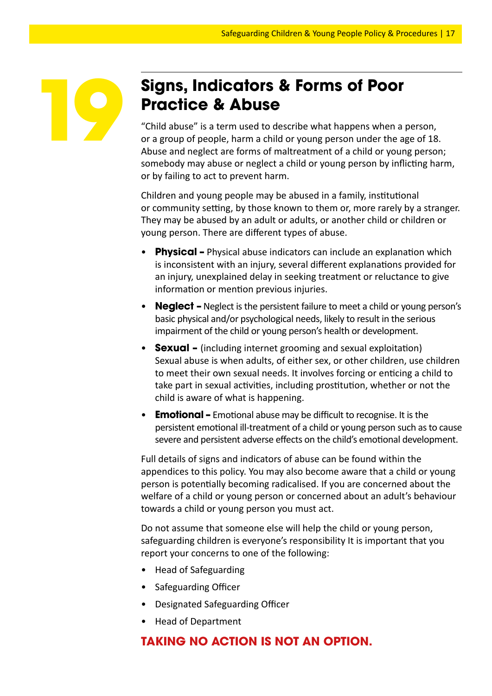

## **Signs, Indicators & Forms of Poor Practice & Abuse**

"Child abuse" is a term used to describe what happens when a person, or a group of people, harm a child or young person under the age of 18. Abuse and neglect are forms of maltreatment of a child or young person; somebody may abuse or neglect a child or young person by inflicting harm, or by failing to act to prevent harm.

Children and young people may be abused in a family, institutional or community setting, by those known to them or, more rarely by a stranger. They may be abused by an adult or adults, or another child or children or young person. There are different types of abuse.

- **Physical –** Physical abuse indicators can include an explanation which is inconsistent with an injury, several different explanations provided for an injury, unexplained delay in seeking treatment or reluctance to give information or mention previous injuries.
- **Neglect –** Neglect is the persistent failure to meet a child or young person's basic physical and/or psychological needs, likely to result in the serious impairment of the child or young person's health or development.
- **Sexual** (including internet grooming and sexual exploitation) Sexual abuse is when adults, of either sex, or other children, use children to meet their own sexual needs. It involves forcing or enticing a child to take part in sexual activities, including prostitution, whether or not the child is aware of what is happening.
- **Emotional –** Emotional abuse may be difficult to recognise. It is the persistent emotional ill-treatment of a child or young person such as to cause severe and persistent adverse effects on the child's emotional development.

Full details of signs and indicators of abuse can be found within the appendices to this policy. You may also become aware that a child or young person is potentially becoming radicalised. If you are concerned about the welfare of a child or young person or concerned about an adult's behaviour towards a child or young person you must act.

Do not assume that someone else will help the child or young person, safeguarding children is everyone's responsibility It is important that you report your concerns to one of the following:

- Head of Safeguarding
- Safeguarding Officer
- Designated Safeguarding Officer
- Head of Department

#### **TAKING NO ACTION IS NOT AN OPTION.**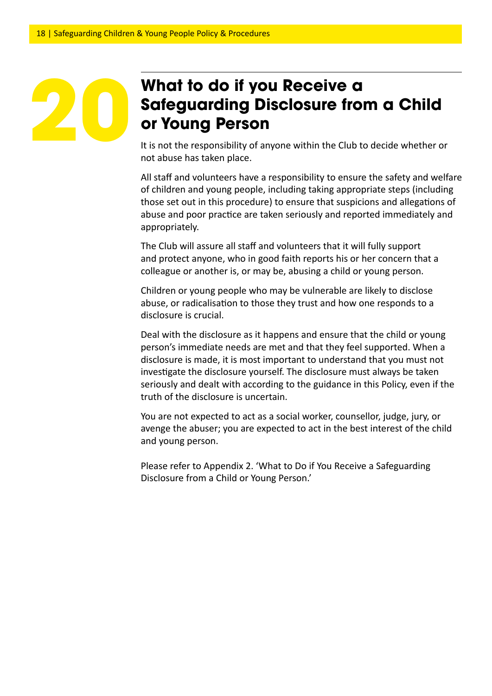## **What to do if you Receive a Safeguarding Disclosure from a Child or Young Person**

It is not the responsibility of anyone within the Club to decide whether or not abuse has taken place.

All staff and volunteers have a responsibility to ensure the safety and welfare of children and young people, including taking appropriate steps (including those set out in this procedure) to ensure that suspicions and allegations of abuse and poor practice are taken seriously and reported immediately and appropriately.

The Club will assure all staff and volunteers that it will fully support and protect anyone, who in good faith reports his or her concern that a colleague or another is, or may be, abusing a child or young person.

Children or young people who may be vulnerable are likely to disclose abuse, or radicalisation to those they trust and how one responds to a disclosure is crucial.

Deal with the disclosure as it happens and ensure that the child or young person's immediate needs are met and that they feel supported. When a disclosure is made, it is most important to understand that you must not investigate the disclosure yourself. The disclosure must always be taken seriously and dealt with according to the guidance in this Policy, even if the truth of the disclosure is uncertain.

You are not expected to act as a social worker, counsellor, judge, jury, or avenge the abuser; you are expected to act in the best interest of the child and young person.

Please refer to Appendix 2. 'What to Do if You Receive a Safeguarding Disclosure from a Child or Young Person.'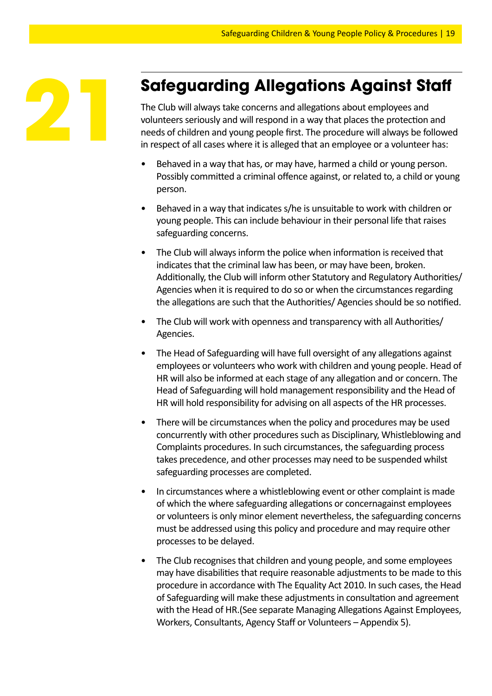

## **Safeguarding Allegations Against Staff**

The Club will always take concerns and allegations about employees and volunteers seriously and will respond in a way that places the protection and needs of children and young people first. The procedure will always be followed in respect of all cases where it is alleged that an employee or a volunteer has:

- Behaved in a way that has, or may have, harmed a child or young person. Possibly committed a criminal offence against, or related to, a child or young person.
- Behaved in a way that indicates s/he is unsuitable to work with children or young people. This can include behaviour in their personal life that raises safeguarding concerns.
- The Club will always inform the police when information is received that indicates that the criminal law has been, or may have been, broken. Additionally, the Club will inform other Statutory and Regulatory Authorities/ Agencies when it is required to do so or when the circumstances regarding the allegations are such that the Authorities/ Agencies should be so notified.
- The Club will work with openness and transparency with all Authorities/ Agencies.
- The Head of Safeguarding will have full oversight of any allegations against employees or volunteers who work with children and young people. Head of HR will also be informed at each stage of any allegation and or concern. The Head of Safeguarding will hold management responsibility and the Head of HR will hold responsibility for advising on all aspects of the HR processes.
- There will be circumstances when the policy and procedures may be used concurrently with other procedures such as Disciplinary, Whistleblowing and Complaints procedures. In such circumstances, the safeguarding process takes precedence, and other processes may need to be suspended whilst safeguarding processes are completed.
- In circumstances where a whistleblowing event or other complaint is made of which the where safeguarding allegations or concernagainst employees or volunteers is only minor element nevertheless, the safeguarding concerns must be addressed using this policy and procedure and may require other processes to be delayed.
- The Club recognises that children and young people, and some employees may have disabilities that require reasonable adjustments to be made to this procedure in accordance with The Equality Act 2010. In such cases, the Head of Safeguarding will make these adjustments in consultation and agreement with the Head of HR.(See separate Managing Allegations Against Employees, Workers, Consultants, Agency Staff or Volunteers – Appendix 5).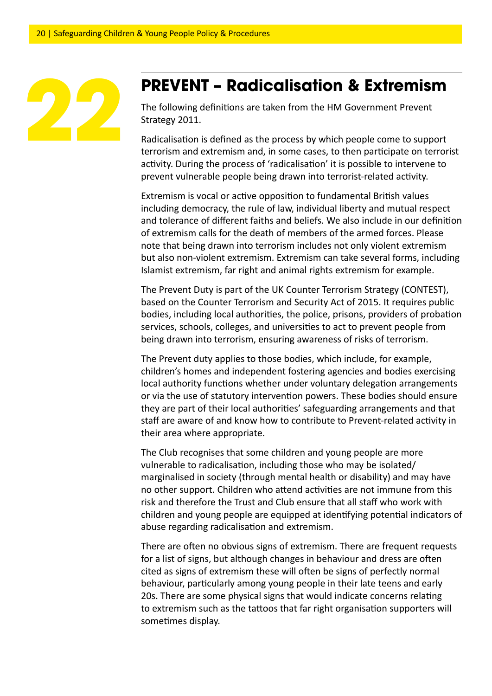

### **PREVENT – Radicalisation & Extremism**

The following definitions are taken from the HM Government Prevent Strategy 2011.

Radicalisation is defined as the process by which people come to support terrorism and extremism and, in some cases, to then participate on terrorist activity. During the process of 'radicalisation' it is possible to intervene to prevent vulnerable people being drawn into terrorist-related activity.

Extremism is vocal or active opposition to fundamental British values including democracy, the rule of law, individual liberty and mutual respect and tolerance of different faiths and beliefs. We also include in our definition of extremism calls for the death of members of the armed forces. Please note that being drawn into terrorism includes not only violent extremism but also non-violent extremism. Extremism can take several forms, including Islamist extremism, far right and animal rights extremism for example.

The Prevent Duty is part of the UK Counter Terrorism Strategy (CONTEST), based on the Counter Terrorism and Security Act of 2015. It requires public bodies, including local authorities, the police, prisons, providers of probation services, schools, colleges, and universities to act to prevent people from being drawn into terrorism, ensuring awareness of risks of terrorism.

The Prevent duty applies to those bodies, which include, for example, children's homes and independent fostering agencies and bodies exercising local authority functions whether under voluntary delegation arrangements or via the use of statutory intervention powers. These bodies should ensure they are part of their local authorities' safeguarding arrangements and that staff are aware of and know how to contribute to Prevent-related activity in their area where appropriate.

The Club recognises that some children and young people are more vulnerable to radicalisation, including those who may be isolated/ marginalised in society (through mental health or disability) and may have no other support. Children who attend activities are not immune from this risk and therefore the Trust and Club ensure that all staff who work with children and young people are equipped at identifying potential indicators of abuse regarding radicalisation and extremism.

There are often no obvious signs of extremism. There are frequent requests for a list of signs, but although changes in behaviour and dress are often cited as signs of extremism these will often be signs of perfectly normal behaviour, particularly among young people in their late teens and early 20s. There are some physical signs that would indicate concerns relating to extremism such as the tattoos that far right organisation supporters will sometimes display.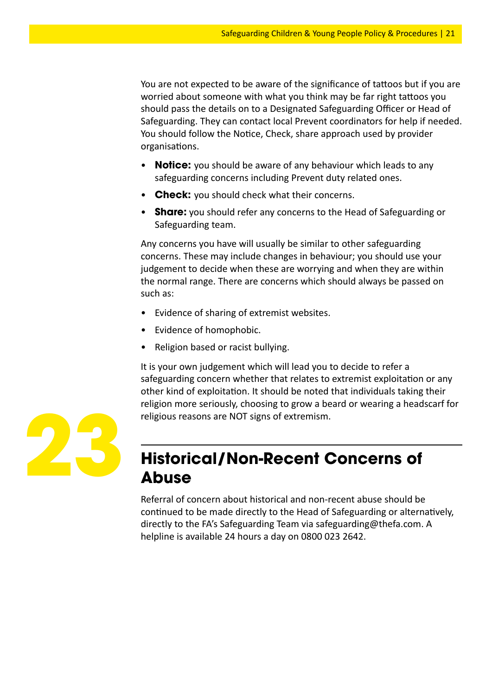You are not expected to be aware of the significance of tattoos but if you are worried about someone with what you think may be far right tattoos you should pass the details on to a Designated Safeguarding Officer or Head of Safeguarding. They can contact local Prevent coordinators for help if needed. You should follow the Notice, Check, share approach used by provider organisations.

- **Notice:** you should be aware of any behaviour which leads to any safeguarding concerns including Prevent duty related ones.
- **Check:** you should check what their concerns.
- **Share:** you should refer any concerns to the Head of Safeguarding or Safeguarding team.

Any concerns you have will usually be similar to other safeguarding concerns. These may include changes in behaviour; you should use your judgement to decide when these are worrying and when they are within the normal range. There are concerns which should always be passed on such as:

- Evidence of sharing of extremist websites.
- Evidence of homophobic.
- Religion based or racist bullying.

It is your own judgement which will lead you to decide to refer a safeguarding concern whether that relates to extremist exploitation or any other kind of exploitation. It should be noted that individuals taking their religion more seriously, choosing to grow a beard or wearing a headscarf for religious reasons are NOT signs of extremism.



## **Historical/Non-Recent Concerns of Abuse**

Referral of concern about historical and non-recent abuse should be continued to be made directly to the Head of Safeguarding or alternatively, directly to the FA's Safeguarding Team via safeguarding@thefa.com. A helpline is available 24 hours a day on 0800 023 2642.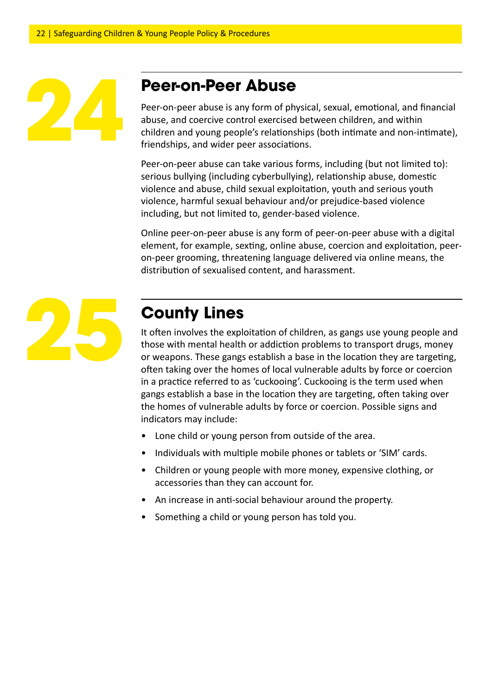## **Peer-on-Peer Abuse**

Peer-on-peer abuse is any form of physical, sexual, emotional, and financial abuse, and coercive control exercised between children, and within children and young people's relationships (both intimate and non-intimate), friendships, and wider peer associations.

Peer-on-peer abuse can take various forms, including (but not limited to): serious bullying (including cyberbullying), relationship abuse, domestic violence and abuse, child sexual exploitation, youth and serious youth violence, harmful sexual behaviour and/or prejudice-based violence including, but not limited to, gender-based violence.

Online peer-on-peer abuse is any form of peer-on-peer abuse with a digital element, for example, sexting, online abuse, coercion and exploitation, peeron-peer grooming, threatening language delivered via online means, the distribution of sexualised content, and harassment.



## **County Lines**

It often involves the exploitation of children, as gangs use young people and those with mental health or addiction problems to transport drugs, money or weapons. These gangs establish a base in the location they are targeting, often taking over the homes of local vulnerable adults by force or coercion in a practice referred to as 'cuckooing'. Cuckooing is the term used when gangs establish a base in the location they are targeting, often taking over the homes of vulnerable adults by force or coercion. Possible signs and indicators may include:

- Lone child or young person from outside of the area.
- Individuals with multiple mobile phones or tablets or 'SIM' cards.
- Children or young people with more money, expensive clothing, or accessories than they can account for.
- An increase in anti-social behaviour around the property.
- Something a child or young person has told you.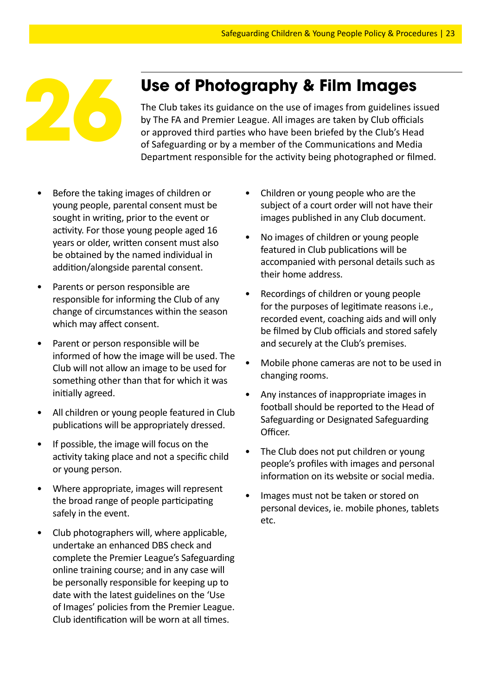

**Use of Photography & Film Images**<br>
The Club takes its guidance on the use of images from guidelines iss<br>
by The FA and Premier League. All images are taken by Club officials<br>
or approved third parties who have been briefe The Club takes its guidance on the use of images from guidelines issued by The FA and Premier League. All images are taken by Club officials or approved third parties who have been briefed by the Club's Head Department responsible for the activity being photographed or filmed.

- Before the taking images of children or young people, parental consent must be sought in writing, prior to the event or activity. For those young people aged 16 years or older, written consent must also be obtained by the named individual in addition/alongside parental consent.
- Parents or person responsible are responsible for informing the Club of any change of circumstances within the season which may affect consent.
- Parent or person responsible will be informed of how the image will be used. The Club will not allow an image to be used for something other than that for which it was initially agreed.
- All children or young people featured in Club publications will be appropriately dressed.
- If possible, the image will focus on the activity taking place and not a specific child or young person.
- Where appropriate, images will represent the broad range of people participating safely in the event.
- Club photographers will, where applicable, undertake an enhanced DBS check and complete the Premier League's Safeguarding online training course; and in any case will be personally responsible for keeping up to date with the latest guidelines on the 'Use of Images' policies from the Premier League. Club identification will be worn at all times.
- Children or young people who are the subject of a court order will not have their images published in any Club document.
- No images of children or young people featured in Club publications will be accompanied with personal details such as their home address.
- Recordings of children or young people for the purposes of legitimate reasons i.e., recorded event, coaching aids and will only be filmed by Club officials and stored safely and securely at the Club's premises.
- Mobile phone cameras are not to be used in changing rooms.
- Any instances of inappropriate images in football should be reported to the Head of Safeguarding or Designated Safeguarding Officer.
- The Club does not put children or young people's profiles with images and personal information on its website or social media.
- Images must not be taken or stored on personal devices, ie. mobile phones, tablets etc.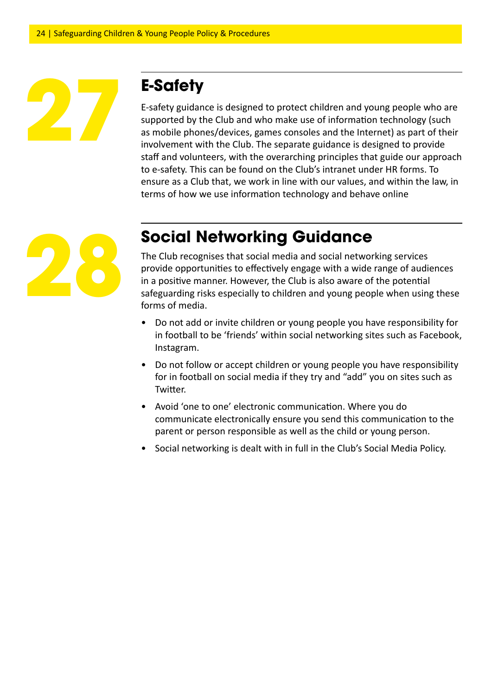## **E-Safety**

E-safety guidance is designed to protect children and young people who are supported by the Club and who make use of information technology (such as mobile phones/devices, games consoles and the Internet) as part of their involvement with the Club. The separate guidance is designed to provide staff and volunteers, with the overarching principles that guide our approach to e-safety. This can be found on the Club's intranet under HR forms. To ensure as a Club that, we work in line with our values, and within the law, in terms of how we use information technology and behave online



## **Social Networking Guidance**

The Club recognises that social media and social networking services provide opportunities to effectively engage with a wide range of audiences in a positive manner. However, the Club is also aware of the potential safeguarding risks especially to children and young people when using these forms of media.

- Do not add or invite children or young people you have responsibility for in football to be 'friends' within social networking sites such as Facebook, Instagram.
- Do not follow or accept children or young people you have responsibility for in football on social media if they try and "add" you on sites such as Twitter.
- Avoid 'one to one' electronic communication. Where you do communicate electronically ensure you send this communication to the parent or person responsible as well as the child or young person.
- Social networking is dealt with in full in the Club's Social Media Policy.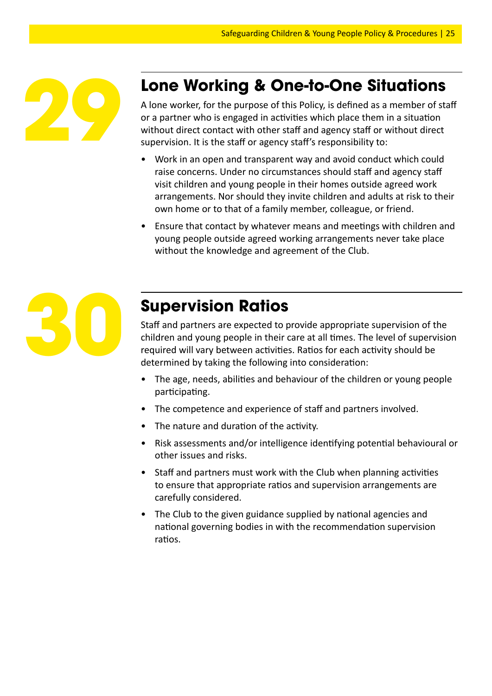

## **Lone Working & One-to-One Situations**

A lone worker, for the purpose of this Policy, is defined as a member of staff or a partner who is engaged in activities which place them in a situation without direct contact with other staff and agency staff or without direct supervision. It is the staff or agency staff's responsibility to:

- Work in an open and transparent way and avoid conduct which could raise concerns. Under no circumstances should staff and agency staff visit children and young people in their homes outside agreed work arrangements. Nor should they invite children and adults at risk to their own home or to that of a family member, colleague, or friend.
- Ensure that contact by whatever means and meetings with children and young people outside agreed working arrangements never take place without the knowledge and agreement of the Club.



## **Supervision Ratios**

Staff and partners are expected to provide appropriate supervision of the children and young people in their care at all times. The level of supervision required will vary between activities. Ratios for each activity should be determined by taking the following into consideration:

- The age, needs, abilities and behaviour of the children or young people participating.
- The competence and experience of staff and partners involved.
- The nature and duration of the activity.
- Risk assessments and/or intelligence identifying potential behavioural or other issues and risks.
- Staff and partners must work with the Club when planning activities to ensure that appropriate ratios and supervision arrangements are carefully considered.
- The Club to the given guidance supplied by national agencies and national governing bodies in with the recommendation supervision ratios.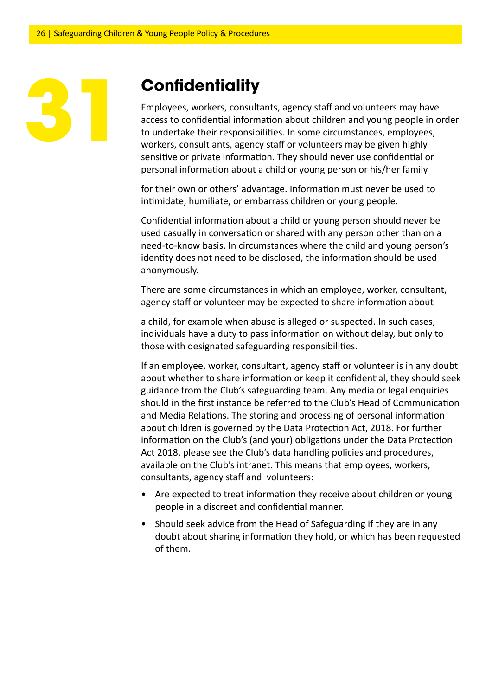## **Confidentiality**

Employees, workers, consultants, agency staff and volunteers may have access to confidential information about children and young people in order to undertake their responsibilities. In some circumstances, employees, workers, consult ants, agency staff or volunteers may be given highly sensitive or private information. They should never use confidential or personal information about a child or young person or his/her family

for their own or others' advantage. Information must never be used to intimidate, humiliate, or embarrass children or young people.

Confidential information about a child or young person should never be used casually in conversation or shared with any person other than on a need-to-know basis. In circumstances where the child and young person's identity does not need to be disclosed, the information should be used anonymously.

There are some circumstances in which an employee, worker, consultant, agency staff or volunteer may be expected to share information about

a child, for example when abuse is alleged or suspected. In such cases, individuals have a duty to pass information on without delay, but only to those with designated safeguarding responsibilities.

If an employee, worker, consultant, agency staff or volunteer is in any doubt about whether to share information or keep it confidential, they should seek guidance from the Club's safeguarding team. Any media or legal enquiries should in the first instance be referred to the Club's Head of Communication and Media Relations. The storing and processing of personal information about children is governed by the Data Protection Act, 2018. For further information on the Club's (and your) obligations under the Data Protection Act 2018, please see the Club's data handling policies and procedures, available on the Club's intranet. This means that employees, workers, consultants, agency staff and volunteers:

- Are expected to treat information they receive about children or young people in a discreet and confidential manner.
- Should seek advice from the Head of Safeguarding if they are in any doubt about sharing information they hold, or which has been requested of them.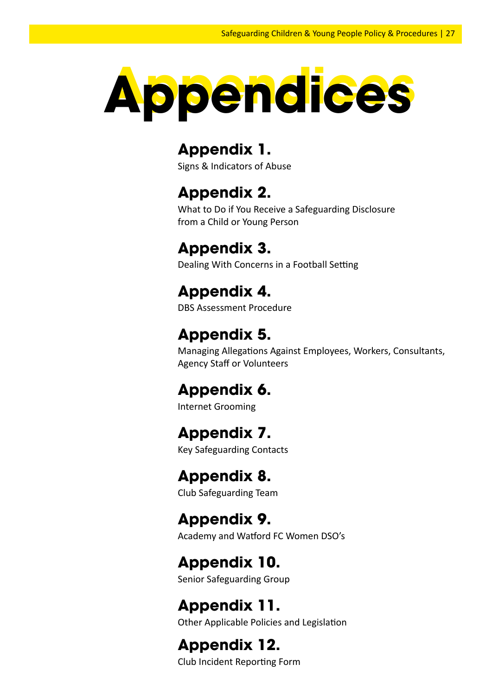

## **Appendix 1.**

Signs & Indicators of Abuse

## **Appendix 2.**

What to Do if You Receive a Safeguarding Disclosure from a Child or Young Person

## **Appendix 3.**

Dealing With Concerns in a Football Setting

## **Appendix 4.**

DBS Assessment Procedure

## **Appendix 5.**

Managing Allegations Against Employees, Workers, Consultants, Agency Staff or Volunteers

## **Appendix 6.**

Internet Grooming

## **Appendix 7.**

Key Safeguarding Contacts

## **Appendix 8.**

Club Safeguarding Team

## **Appendix 9.**

Academy and Watford FC Women DSO's

## **Appendix 10.**

Senior Safeguarding Group

## **Appendix 11.**

Other Applicable Policies and Legislation

## **Appendix 12.**

Club Incident Reporting Form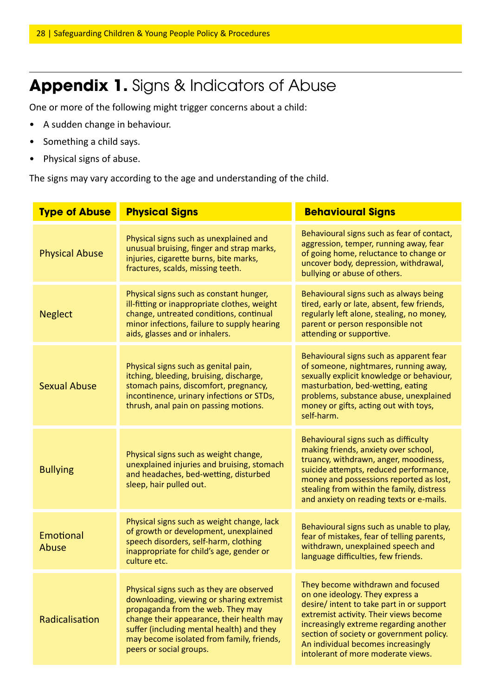## Appendix 1. Signs & Indicators of Abuse

One or more of the following might trigger concerns about a child:

- A sudden change in behaviour.
- Something a child says.
- Physical signs of abuse.

The signs may vary according to the age and understanding of the child.

| <b>Type of Abuse</b>  | <b>Physical Signs</b>                                                                                                                                                                                                                                                                        | <b>Behavioural Signs</b>                                                                                                                                                                                                                                                                                                      |
|-----------------------|----------------------------------------------------------------------------------------------------------------------------------------------------------------------------------------------------------------------------------------------------------------------------------------------|-------------------------------------------------------------------------------------------------------------------------------------------------------------------------------------------------------------------------------------------------------------------------------------------------------------------------------|
| <b>Physical Abuse</b> | Physical signs such as unexplained and<br>unusual bruising, finger and strap marks,<br>injuries, cigarette burns, bite marks,<br>fractures, scalds, missing teeth.                                                                                                                           | Behavioural signs such as fear of contact,<br>aggression, temper, running away, fear<br>of going home, reluctance to change or<br>uncover body, depression, withdrawal,<br>bullying or abuse of others.                                                                                                                       |
| <b>Neglect</b>        | Physical signs such as constant hunger,<br>ill-fitting or inappropriate clothes, weight<br>change, untreated conditions, continual<br>minor infections, failure to supply hearing<br>aids, glasses and or inhalers.                                                                          | Behavioural signs such as always being<br>tired, early or late, absent, few friends,<br>regularly left alone, stealing, no money,<br>parent or person responsible not<br>attending or supportive.                                                                                                                             |
| <b>Sexual Abuse</b>   | Physical signs such as genital pain,<br>itching, bleeding, bruising, discharge,<br>stomach pains, discomfort, pregnancy,<br>incontinence, urinary infections or STDs,<br>thrush, anal pain on passing motions.                                                                               | Behavioural signs such as apparent fear<br>of someone, nightmares, running away,<br>sexually explicit knowledge or behaviour,<br>masturbation, bed-wetting, eating<br>problems, substance abuse, unexplained<br>money or gifts, acting out with toys,<br>self-harm.                                                           |
| <b>Bullying</b>       | Physical signs such as weight change,<br>unexplained injuries and bruising, stomach<br>and headaches, bed-wetting, disturbed<br>sleep, hair pulled out.                                                                                                                                      | Behavioural signs such as difficulty<br>making friends, anxiety over school,<br>truancy, withdrawn, anger, moodiness,<br>suicide attempts, reduced performance,<br>money and possessions reported as lost,<br>stealing from within the family, distress<br>and anxiety on reading texts or e-mails.                           |
| Emotional<br>Abuse    | Physical signs such as weight change, lack<br>of growth or development, unexplained<br>speech disorders, self-harm, clothing<br>inappropriate for child's age, gender or<br>culture etc.                                                                                                     | Behavioural signs such as unable to play,<br>fear of mistakes, fear of telling parents,<br>withdrawn, unexplained speech and<br>language difficulties, few friends.                                                                                                                                                           |
| Radicalisation        | Physical signs such as they are observed<br>downloading, viewing or sharing extremist<br>propaganda from the web. They may<br>change their appearance, their health may<br>suffer (including mental health) and they<br>may become isolated from family, friends,<br>peers or social groups. | They become withdrawn and focused<br>on one ideology. They express a<br>desire/ intent to take part in or support<br>extremist activity. Their views become<br>increasingly extreme regarding another<br>section of society or government policy.<br>An individual becomes increasingly<br>intolerant of more moderate views. |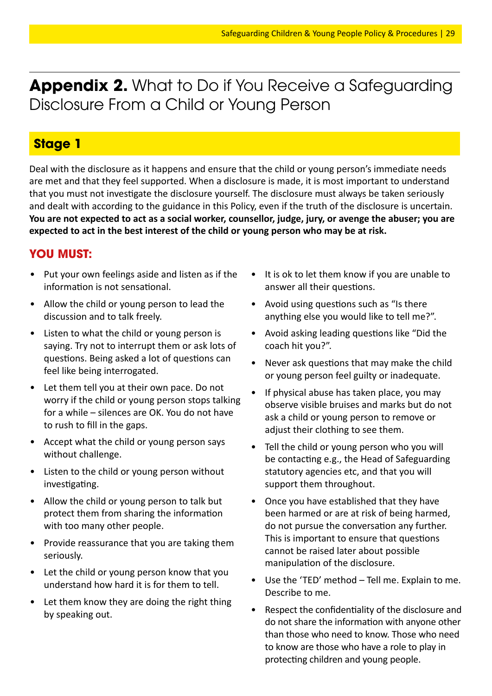**Appendix 2.** What to Do if You Receive a Safeguarding Disclosure From a Child or Young Person

#### **Stage 1**

Deal with the disclosure as it happens and ensure that the child or young person's immediate needs are met and that they feel supported. When a disclosure is made, it is most important to understand that you must not investigate the disclosure yourself. The disclosure must always be taken seriously and dealt with according to the guidance in this Policy, even if the truth of the disclosure is uncertain. **You are not expected to act as a social worker, counsellor, judge, jury, or avenge the abuser; you are expected to act in the best interest of the child or young person who may be at risk.**

#### **YOU MUST:**

- Put your own feelings aside and listen as if the information is not sensational.
- Allow the child or young person to lead the discussion and to talk freely.
- Listen to what the child or young person is saying. Try not to interrupt them or ask lots of questions. Being asked a lot of questions can feel like being interrogated.
- Let them tell you at their own pace. Do not worry if the child or young person stops talking for a while – silences are OK. You do not have to rush to fill in the gaps.
- Accept what the child or young person says without challenge.
- Listen to the child or young person without investigating.
- Allow the child or young person to talk but protect them from sharing the information with too many other people.
- Provide reassurance that you are taking them seriously.
- Let the child or young person know that you understand how hard it is for them to tell.
- Let them know they are doing the right thing by speaking out.
- It is ok to let them know if you are unable to answer all their questions.
- Avoid using questions such as "Is there anything else you would like to tell me?".
- Avoid asking leading questions like "Did the coach hit you?".
- Never ask questions that may make the child or young person feel guilty or inadequate.
- If physical abuse has taken place, you may observe visible bruises and marks but do not ask a child or young person to remove or adjust their clothing to see them.
- Tell the child or young person who you will be contacting e.g., the Head of Safeguarding statutory agencies etc, and that you will support them throughout.
- Once you have established that they have been harmed or are at risk of being harmed, do not pursue the conversation any further. This is important to ensure that questions cannot be raised later about possible manipulation of the disclosure.
- Use the 'TED' method Tell me. Explain to me. Describe to me.
- Respect the confidentiality of the disclosure and do not share the information with anyone other than those who need to know. Those who need to know are those who have a role to play in protecting children and young people.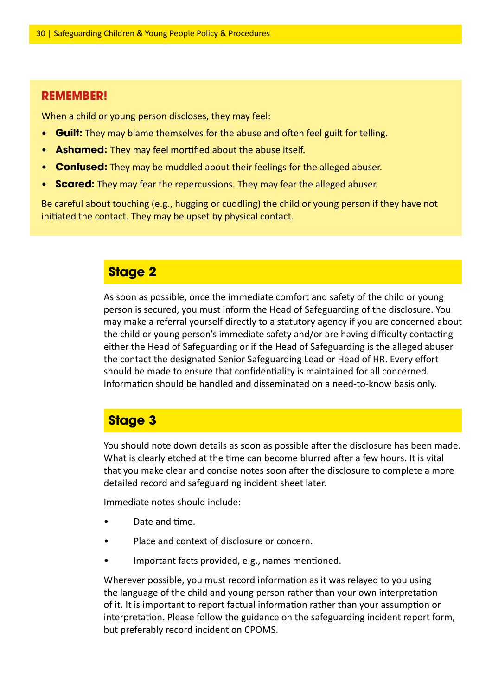#### **REMEMBER!**

When a child or young person discloses, they may feel:

- **Guilt:** They may blame themselves for the abuse and often feel guilt for telling.
- **Ashamed:** They may feel mortified about the abuse itself.
- **Confused:** They may be muddled about their feelings for the alleged abuser.
- **Scared:** They may fear the repercussions. They may fear the alleged abuser.

Be careful about touching (e.g., hugging or cuddling) the child or young person if they have not initiated the contact. They may be upset by physical contact.

#### **Stage 2**

As soon as possible, once the immediate comfort and safety of the child or young person is secured, you must inform the Head of Safeguarding of the disclosure. You may make a referral yourself directly to a statutory agency if you are concerned about the child or young person's immediate safety and/or are having difficulty contacting either the Head of Safeguarding or if the Head of Safeguarding is the alleged abuser the contact the designated Senior Safeguarding Lead or Head of HR. Every effort should be made to ensure that confidentiality is maintained for all concerned. Information should be handled and disseminated on a need-to-know basis only.

#### **Stage 3**

You should note down details as soon as possible after the disclosure has been made. What is clearly etched at the time can become blurred after a few hours. It is vital that you make clear and concise notes soon after the disclosure to complete a more detailed record and safeguarding incident sheet later.

Immediate notes should include:

- Date and time.
- Place and context of disclosure or concern.
- Important facts provided, e.g., names mentioned.

Wherever possible, you must record information as it was relayed to you using the language of the child and young person rather than your own interpretation of it. It is important to report factual information rather than your assumption or interpretation. Please follow the guidance on the safeguarding incident report form, but preferably record incident on CPOMS.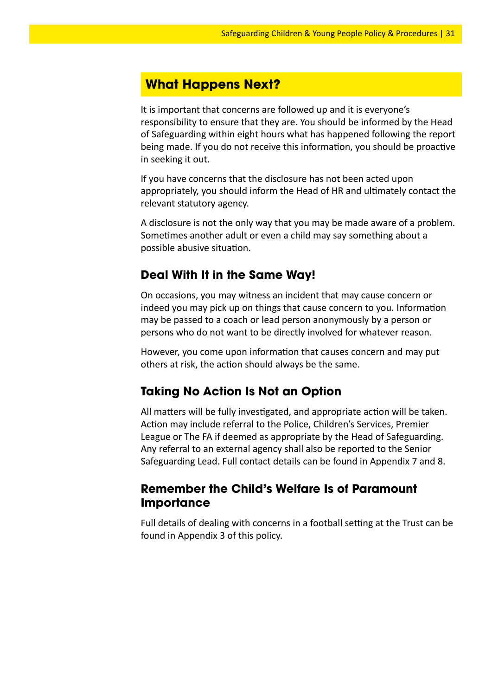#### **What Happens Next?**

It is important that concerns are followed up and it is everyone's responsibility to ensure that they are. You should be informed by the Head of Safeguarding within eight hours what has happened following the report being made. If you do not receive this information, you should be proactive in seeking it out.

If you have concerns that the disclosure has not been acted upon appropriately, you should inform the Head of HR and ultimately contact the relevant statutory agency.

A disclosure is not the only way that you may be made aware of a problem. Sometimes another adult or even a child may say something about a possible abusive situation.

#### **Deal With It in the Same Way!**

On occasions, you may witness an incident that may cause concern or indeed you may pick up on things that cause concern to you. Information may be passed to a coach or lead person anonymously by a person or persons who do not want to be directly involved for whatever reason.

However, you come upon information that causes concern and may put others at risk, the action should always be the same.

#### **Taking No Action Is Not an Option**

All matters will be fully investigated, and appropriate action will be taken. Action may include referral to the Police, Children's Services, Premier League or The FA if deemed as appropriate by the Head of Safeguarding. Any referral to an external agency shall also be reported to the Senior Safeguarding Lead. Full contact details can be found in Appendix 7 and 8.

#### **Remember the Child's Welfare Is of Paramount Importance**

Full details of dealing with concerns in a football setting at the Trust can be found in Appendix 3 of this policy.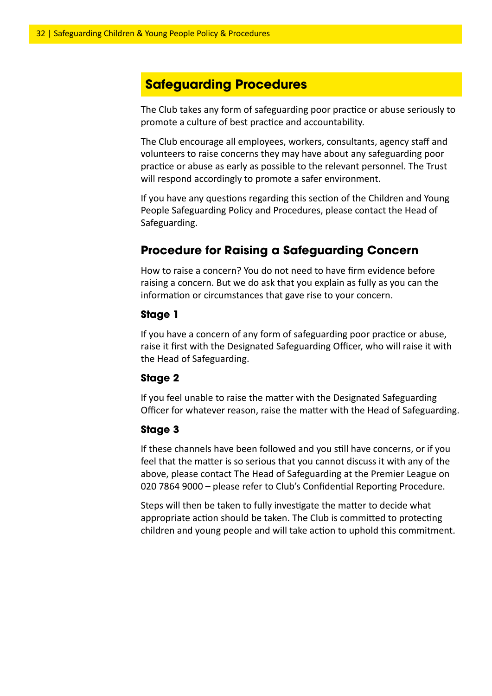#### **Safeguarding Procedures**

The Club takes any form of safeguarding poor practice or abuse seriously to promote a culture of best practice and accountability.

The Club encourage all employees, workers, consultants, agency staff and volunteers to raise concerns they may have about any safeguarding poor practice or abuse as early as possible to the relevant personnel. The Trust will respond accordingly to promote a safer environment.

If you have any questions regarding this section of the Children and Young People Safeguarding Policy and Procedures, please contact the Head of Safeguarding.

#### **Procedure for Raising a Safeguarding Concern**

How to raise a concern? You do not need to have firm evidence before raising a concern. But we do ask that you explain as fully as you can the information or circumstances that gave rise to your concern.

#### **Stage 1**

If you have a concern of any form of safeguarding poor practice or abuse, raise it first with the Designated Safeguarding Officer, who will raise it with the Head of Safeguarding.

#### **Stage 2**

If you feel unable to raise the matter with the Designated Safeguarding Officer for whatever reason, raise the matter with the Head of Safeguarding.

#### **Stage 3**

If these channels have been followed and you still have concerns, or if you feel that the matter is so serious that you cannot discuss it with any of the above, please contact The Head of Safeguarding at the Premier League on 020 7864 9000 – please refer to Club's Confidential Reporting Procedure.

Steps will then be taken to fully investigate the matter to decide what appropriate action should be taken. The Club is committed to protecting children and young people and will take action to uphold this commitment.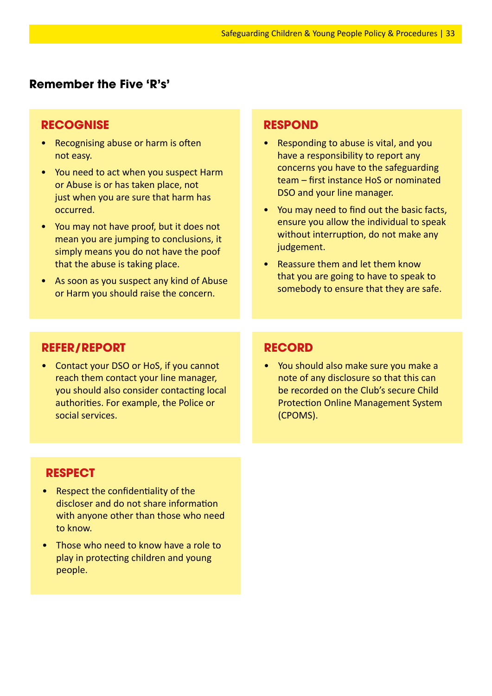#### **Remember the Five 'R's'**

#### **RECOGNISE**

- Recognising abuse or harm is often not easy.
- You need to act when you suspect Harm or Abuse is or has taken place, not just when you are sure that harm has occurred.
- You may not have proof, but it does not mean you are jumping to conclusions, it simply means you do not have the poof that the abuse is taking place.
- As soon as you suspect any kind of Abuse or Harm you should raise the concern.

#### **RESPOND**

- Responding to abuse is vital, and you have a responsibility to report any concerns you have to the safeguarding team – first instance HoS or nominated DSO and your line manager.
- You may need to find out the basic facts, ensure you allow the individual to speak without interruption, do not make any judgement.
- Reassure them and let them know that you are going to have to speak to somebody to ensure that they are safe.

#### **REFER/REPORT**

• Contact your DSO or HoS, if you cannot reach them contact your line manager, you should also consider contacting local authorities. For example, the Police or social services.

#### **RECORD**

• You should also make sure you make a note of any disclosure so that this can be recorded on the Club's secure Child Protection Online Management System (CPOMS).

#### **RESPECT**

- Respect the confidentiality of the discloser and do not share information with anyone other than those who need to know.
- Those who need to know have a role to play in protecting children and young people.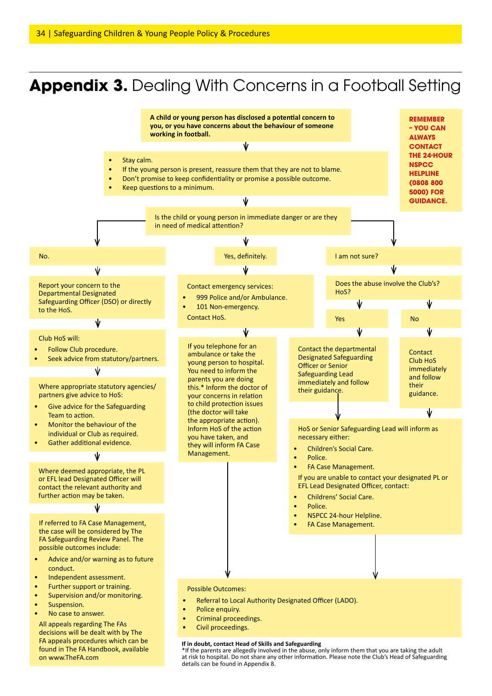## **Appendix 3.** Dealing With Concerns in a Football Setting

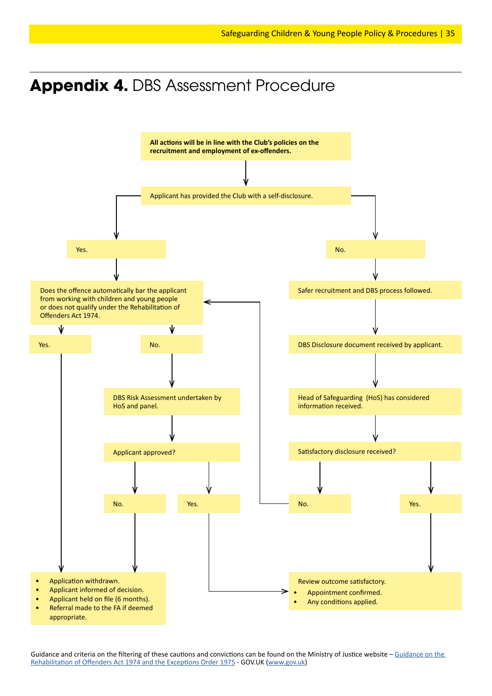## **Appendix 4.** DBS Assessment Procedure



Guidance and criteria on the filtering of these cautions and convictions can be found on the Ministry of Justice website – Guidance on the Rehabilitation of Offenders Act 1974 and the Exceptions Order 1975 - GOV.UK (www.gov.uk)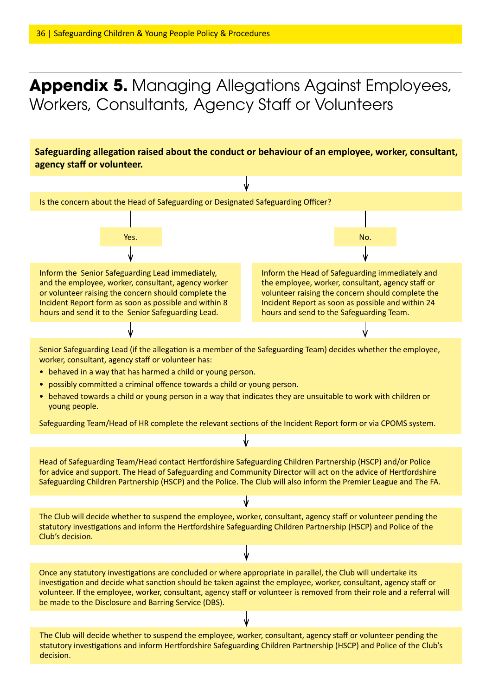## **Appendix 5.** Managing Allegations Against Employees, Workers, Consultants, Agency Staff or Volunteers

**Safeguarding allegation raised about the conduct or behaviour of an employee, worker, consultant, agency staff or volunteer.**

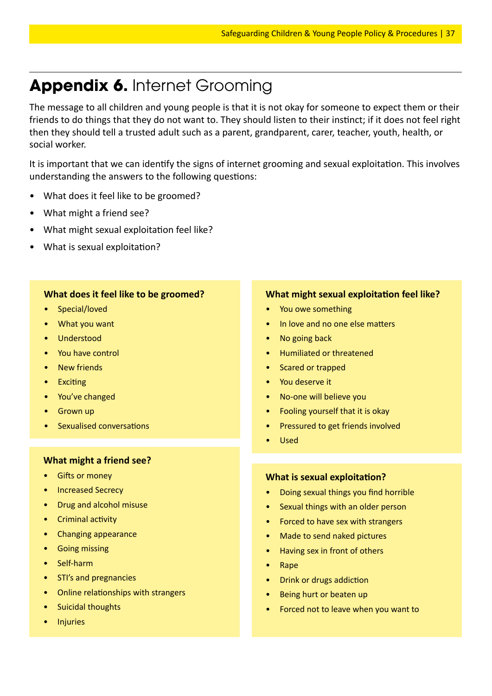## **Appendix 6.** Internet Grooming

The message to all children and young people is that it is not okay for someone to expect them or their friends to do things that they do not want to. They should listen to their instinct; if it does not feel right then they should tell a trusted adult such as a parent, grandparent, carer, teacher, youth, health, or social worker.

It is important that we can identify the signs of internet grooming and sexual exploitation. This involves understanding the answers to the following questions:

- What does it feel like to be groomed?
- What might a friend see?
- What might sexual exploitation feel like?
- What is sexual exploitation?

#### **What does it feel like to be groomed?**

- Special/loved
- What you want
- Understood
- You have control
- **New friends**
- Exciting
- You've changed
- **Grown up**
- Sexualised conversations

#### **What might a friend see?**

- **Gifts or money**
- Increased Secrecy
- Drug and alcohol misuse
- Criminal activity
- Changing appearance
- Going missing
- Self-harm
- STI's and pregnancies
- Online relationships with strangers
- Suicidal thoughts
- **Injuries**

#### **What might sexual exploitation feel like?**

- You owe something
- In love and no one else matters
- No going back
- Humiliated or threatened
- Scared or trapped
- You deserve it
- No-one will believe you
- Fooling yourself that it is okay
- Pressured to get friends involved
- Used

#### **What is sexual exploitation?**

- Doing sexual things you find horrible
- Sexual things with an older person
- Forced to have sex with strangers
- Made to send naked pictures
- Having sex in front of others
- Rape
- Drink or drugs addiction
- Being hurt or beaten up
- Forced not to leave when you want to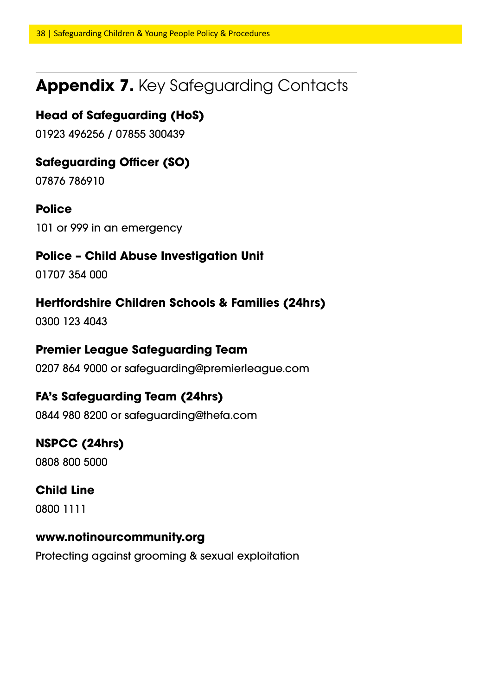## **Appendix 7.** Key Safeguarding Contacts

#### **Head of Safeguarding (HoS)**

01923 496256 / 07855 300439

#### **Safeguarding Officer (SO)**

07876 786910

#### **Police**

101 or 999 in an emergency

#### **Police – Child Abuse Investigation Unit**

01707 354 000

#### **Hertfordshire Children Schools & Families (24hrs)**

0300 123 4043

#### **Premier League Safeguarding Team**

0207 864 9000 or safeguarding@premierleague.com

#### **FA's Safeguarding Team (24hrs)**

0844 980 8200 or safeguarding@thefa.com

#### **NSPCC (24hrs)**

0808 800 5000

#### **Child Line**

0800 1111

#### **www.notinourcommunity.org**

Protecting against grooming & sexual exploitation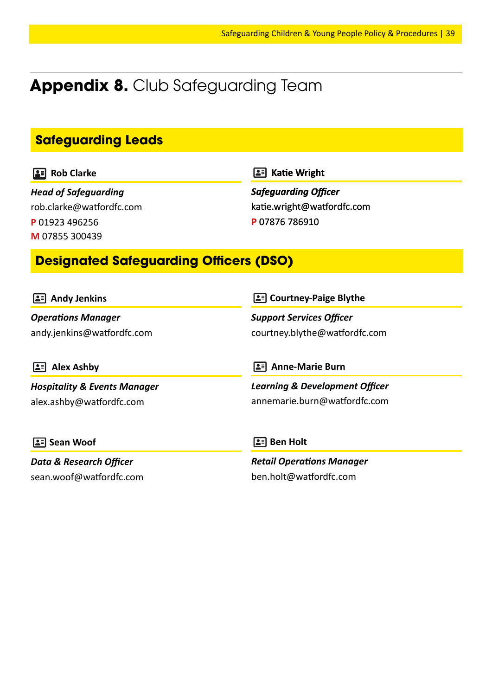## **Appendix 8.** Club Safeguarding Team

#### **Safeguarding Leads**

**Rob Clarke** 

*Head of Safeguarding* rob.clarke@watfordfc.com **P** 01923 496256 **M** 07855 300439

**Katie Wright**

*Safeguarding Officer* katie.wright@watfordfc.com **P** 07876 786910

#### **Designated Safeguarding Officers (DSO)**

| $\boxed{\bullet}$ Andy Jenkins          | <b>2</b> Courtney-Paige Blythe            |  |
|-----------------------------------------|-------------------------------------------|--|
| <b>Operations Manager</b>               | <b>Support Services Officer</b>           |  |
| andy.jenkins@watfordfc.com              | courtney.blythe@watfordfc.com             |  |
| <b>Alex Ashby</b>                       | <b>Anne-Marie Burn</b><br>IL = 1          |  |
| <b>Hospitality &amp; Events Manager</b> | <b>Learning &amp; Development Officer</b> |  |
| alex.ashby@watfordfc.com                | annemarie.burn@watfordfc.com              |  |
| <b>2</b> Sean Woof                      | $\boxed{\bullet}$ Ben Holt                |  |
| <b>Data &amp; Research Officer</b>      | <b>Retail Operations Manager</b>          |  |
| sean.woof@watfordfc.com                 | ben.holt@watfordfc.com                    |  |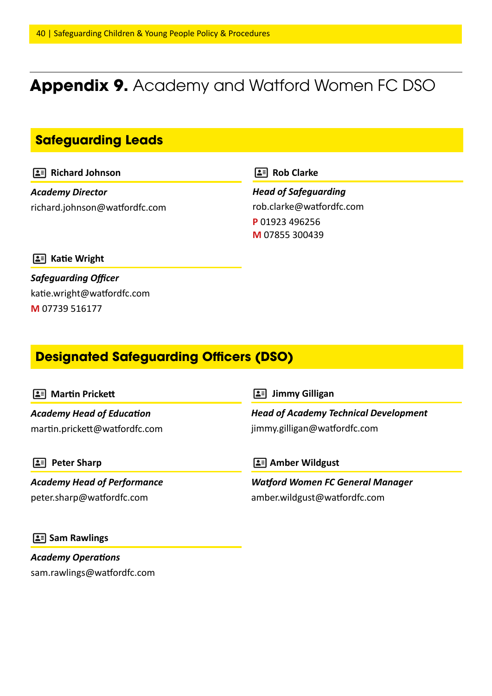## **Appendix 9.** Academy and Watford Women FC DSO

#### **Safeguarding Leads**

**Richard Johnson** 

*Academy Director* richard.johnson@watfordfc.com **Rob Clarke** 

*Head of Safeguarding* rob.clarke@watfordfc.com **P** 01923 496256 **M** 07855 300439

**E** Katie Wright

*Safeguarding Officer* katie.wright@watfordfc.com **M** 07739 516177

#### **Designated Safeguarding Officers (DSO)**

#### **Martin Prickett**

*Academy Head of Education* martin.prickett@watfordfc.com

 **Peter Sharp**

*Academy Head of Performance* peter.sharp@watfordfc.com

 **Jimmy Gilligan**

*Head of Academy Technical Development* jimmy.gilligan@watfordfc.com

 **Amber Wildgust**

*Watford Women FC General Manager* amber.wildgust@watfordfc.com

#### **Sam Rawlings**

*Academy Operations* sam.rawlings@watfordfc.com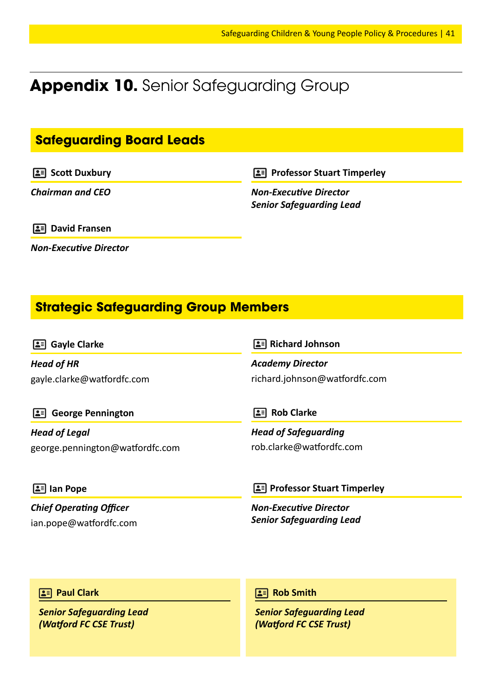## **Appendix 10.** Senior Safeguarding Group

#### **Safeguarding Board Leads**

**SEP Scott Duxbury** 

*Chairman and CEO*

**Professor Stuart Timperley** 

*Non-Executive Director Senior Safeguarding Lead*

**David Fransen**

*Non-Executive Director*

### **Strategic Safeguarding Group Members**

**Gayle Clarke**

*Head of HR* gayle.clarke@watfordfc.com

#### **Richard Johnson**

*Academy Director* richard.johnson@watfordfc.com

 **George Pennington**

*Chief Operating Officer* ian.pope@watfordfc.com

*Head of Legal* george.pennington@watfordfc.com **Rob Clarke** 

*Head of Safeguarding* rob.clarke@watfordfc.com

**2 Professor Stuart Timperley** 

*Non-Executive Director Senior Safeguarding Lead*

#### **Paul Clark**

 **Ian Pope**

*Senior Safeguarding Lead (Watford FC CSE Trust)*

**Rob Smith**

*Senior Safeguarding Lead (Watford FC CSE Trust)*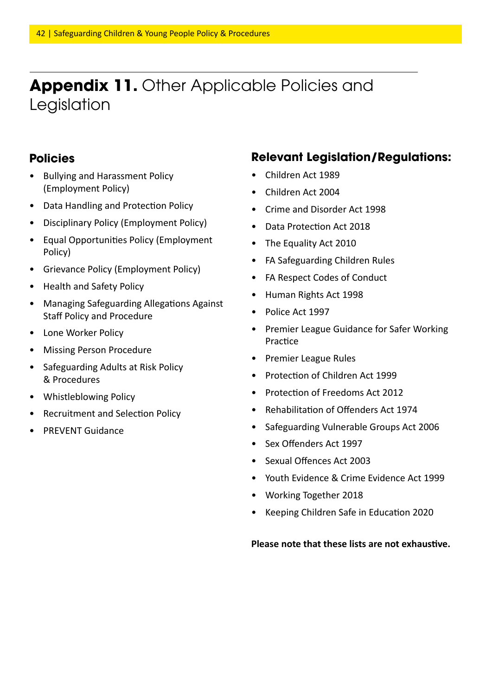## **Appendix 11.** Other Applicable Policies and Legislation

#### **Policies**

- Bullying and Harassment Policy (Employment Policy)
- Data Handling and Protection Policy
- Disciplinary Policy (Employment Policy)
- Equal Opportunities Policy (Employment Policy)
- Grievance Policy (Employment Policy)
- Health and Safety Policy
- Managing Safeguarding Allegations Against Staff Policy and Procedure
- Lone Worker Policy
- Missing Person Procedure
- Safeguarding Adults at Risk Policy & Procedures
- Whistleblowing Policy
- Recruitment and Selection Policy
- PREVENT Guidance

#### **Relevant Legislation/Regulations:**

- Children Act 1989
- Children Act 2004
- Crime and Disorder Act 1998
- Data Protection Act 2018
- The Equality Act 2010
- FA Safeguarding Children Rules
- FA Respect Codes of Conduct
- Human Rights Act 1998
- Police Act 1997
- Premier League Guidance for Safer Working Practice
- Premier League Rules
- Protection of Children Act 1999
- Protection of Freedoms Act 2012
- Rehabilitation of Offenders Act 1974
- Safeguarding Vulnerable Groups Act 2006
- Sex Offenders Act 1997
- Sexual Offences Act 2003
- Youth Evidence & Crime Evidence Act 1999
- Working Together 2018
- Keeping Children Safe in Education 2020

#### **Please note that these lists are not exhaustive.**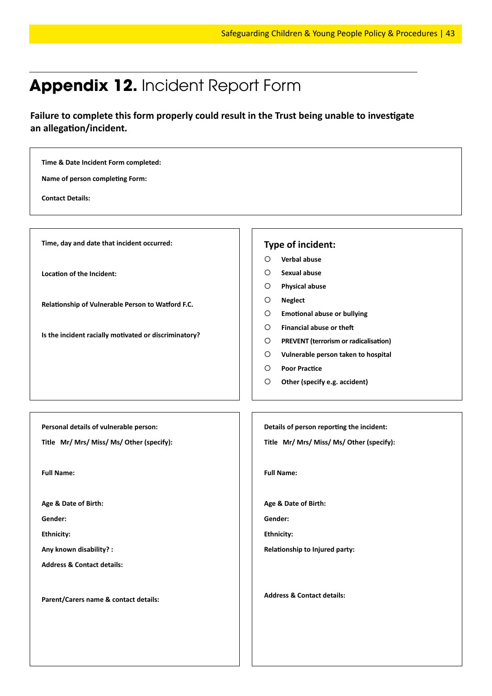## **Appendix 12.** Incident Report Form

**Failure to complete this form properly could result in the Trust being unable to investigate an allegation/incident.**

#### **Time & Date Incident Form completed: Name of person completing Form: Contact Details: Time, day and date that incident occurred: Location of the Incident: Relationship of Vulnerable Person to Watford F.C. Is the incident racially motivated or discriminatory? Type of incident: Verbal abuse Sexual abuse Physical abuse Neglect Emotional abuse or bullying Financial abuse or theft PREVENT (terrorism or radicalisation) Vulnerable person taken to hospital Poor Practice Other (specify e.g. accident) Personal details of vulnerable person: Title Mr/ Mrs/ Miss/ Ms/ Other (specify): Full Name: Age & Date of Birth: Gender: Ethnicity: Any known disability? : Address & Contact details: Parent/Carers name & contact details: Details of person reporting the incident: Title Mr/ Mrs/ Miss/ Ms/ Other (specify): Full Name: Age & Date of Birth: Gender: Ethnicity: Relationship to Injured party: Address & Contact details:**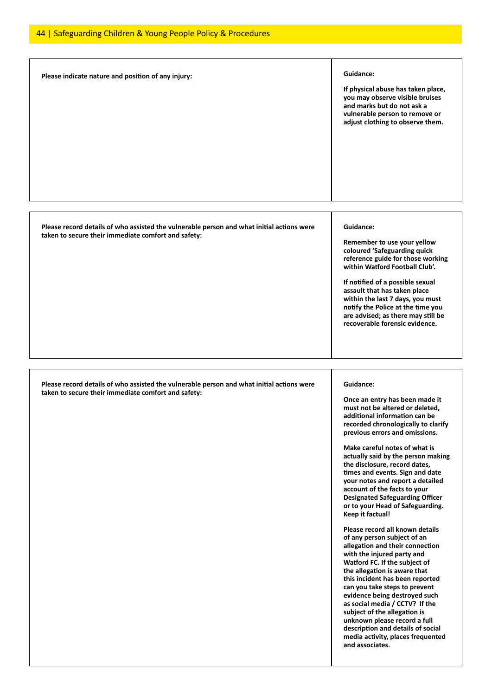| Please indicate nature and position of any injury:                                                                                               | Guidance:<br>If physical abuse has taken place,<br>you may observe visible bruises<br>and marks but do not ask a<br>vulnerable person to remove or<br>adjust clothing to observe them.                                                                                                                                                                                                                                                                                                                                                                                                                                                                                                                                                                                                                                                                                                                                                                                                                                   |
|--------------------------------------------------------------------------------------------------------------------------------------------------|--------------------------------------------------------------------------------------------------------------------------------------------------------------------------------------------------------------------------------------------------------------------------------------------------------------------------------------------------------------------------------------------------------------------------------------------------------------------------------------------------------------------------------------------------------------------------------------------------------------------------------------------------------------------------------------------------------------------------------------------------------------------------------------------------------------------------------------------------------------------------------------------------------------------------------------------------------------------------------------------------------------------------|
| Please record details of who assisted the vulnerable person and what initial actions were<br>taken to secure their immediate comfort and safety: | Guidance:<br>Remember to use your yellow<br>coloured 'Safeguarding quick<br>reference guide for those working<br>within Watford Football Club'.<br>If notified of a possible sexual<br>assault that has taken place<br>within the last 7 days, you must<br>notify the Police at the time you<br>are advised; as there may still be<br>recoverable forensic evidence.                                                                                                                                                                                                                                                                                                                                                                                                                                                                                                                                                                                                                                                     |
| Please record details of who assisted the vulnerable person and what initial actions were<br>taken to secure their immediate comfort and safety: | Guidance:<br>Once an entry has been made it<br>must not be altered or deleted,<br>additional information can be<br>recorded chronologically to clarify<br>previous errors and omissions.<br>Make careful notes of what is<br>actually said by the person making<br>the disclosure, record dates,<br>times and events. Sign and date<br>your notes and report a detailed<br>account of the facts to your<br><b>Designated Safeguarding Officer</b><br>or to your Head of Safeguarding.<br><b>Keep it factual!</b><br>Please record all known details<br>of any person subject of an<br>allegation and their connection<br>with the injured party and<br>Watford FC. If the subject of<br>the allegation is aware that<br>this incident has been reported<br>can you take steps to prevent<br>evidence being destroyed such<br>as social media / CCTV? If the<br>subject of the allegation is<br>unknown please record a full<br>description and details of social<br>media activity, places frequented<br>and associates. |

ı